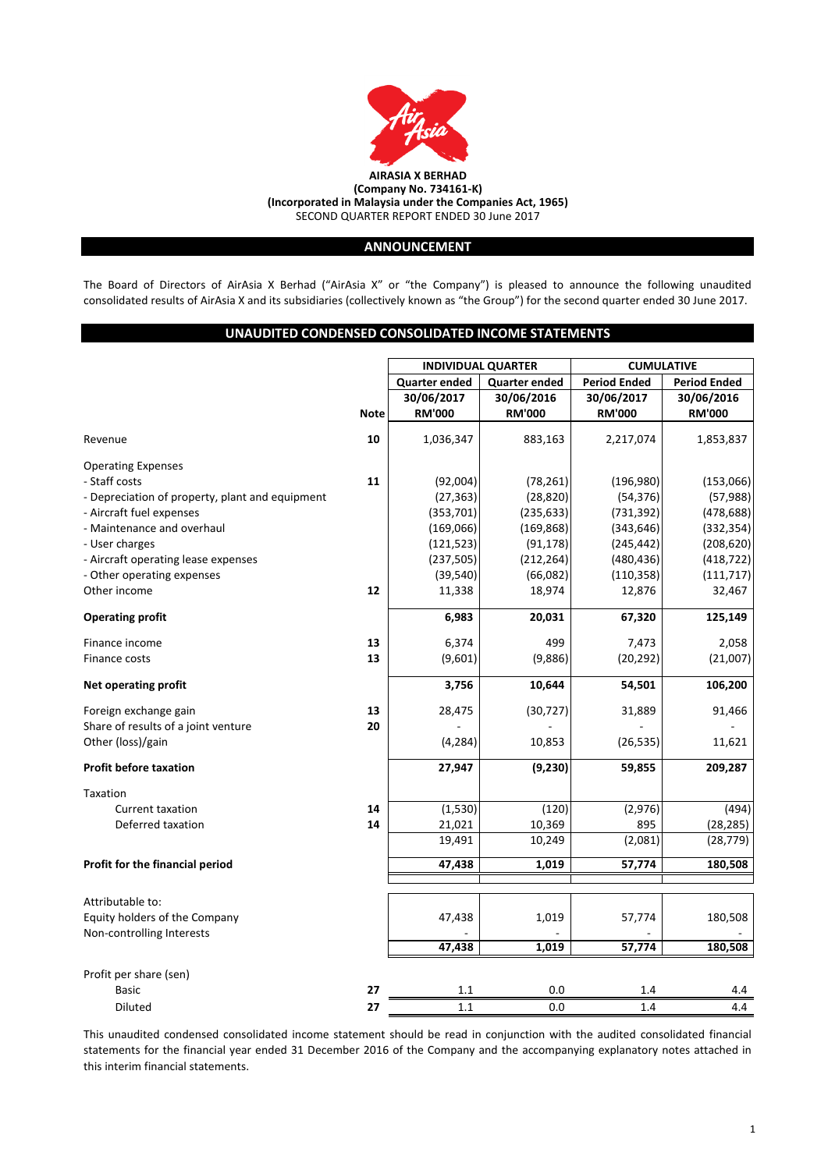

# **ANNOUNCEMENT**

The Board of Directors of AirAsia X Berhad ("AirAsia X" or "the Company") is pleased to announce the following unaudited consolidated results of AirAsia X and its subsidiaries (collectively known as "the Group") for the second quarter ended 30 June 2017.

# **UNAUDITED CONDENSED CONSOLIDATED INCOME STATEMENTS**

|                                                            |             |                                                   |                      | <b>CUMULATIVE</b>   |                     |  |  |
|------------------------------------------------------------|-------------|---------------------------------------------------|----------------------|---------------------|---------------------|--|--|
|                                                            |             | <b>INDIVIDUAL QUARTER</b><br><b>Quarter ended</b> | <b>Quarter ended</b> | <b>Period Ended</b> | <b>Period Ended</b> |  |  |
|                                                            |             | 30/06/2017                                        | 30/06/2016           | 30/06/2017          | 30/06/2016          |  |  |
|                                                            | <b>Note</b> | <b>RM'000</b>                                     | <b>RM'000</b>        | <b>RM'000</b>       | <b>RM'000</b>       |  |  |
|                                                            |             |                                                   |                      |                     |                     |  |  |
| Revenue                                                    | 10          | 1,036,347                                         | 883,163              | 2,217,074           | 1,853,837           |  |  |
| <b>Operating Expenses</b>                                  |             |                                                   |                      |                     |                     |  |  |
| - Staff costs                                              | 11          | (92,004)                                          | (78, 261)            | (196, 980)          | (153,066)           |  |  |
| - Depreciation of property, plant and equipment            |             | (27, 363)                                         | (28, 820)            | (54, 376)           | (57, 988)           |  |  |
| - Aircraft fuel expenses                                   |             | (353, 701)                                        | (235, 633)           | (731, 392)          | (478, 688)          |  |  |
| - Maintenance and overhaul                                 |             | (169,066)                                         | (169, 868)           | (343, 646)          | (332, 354)          |  |  |
| - User charges                                             |             | (121, 523)                                        | (91, 178)            | (245, 442)          | (208, 620)          |  |  |
| - Aircraft operating lease expenses                        |             | (237, 505)                                        | (212, 264)           | (480, 436)          | (418, 722)          |  |  |
| - Other operating expenses                                 |             | (39, 540)                                         | (66,082)             | (110, 358)          | (111, 717)          |  |  |
| Other income                                               | 12          | 11,338                                            | 18,974               | 12,876              | 32,467              |  |  |
| <b>Operating profit</b>                                    |             | 6,983                                             | 20,031               | 67,320              | 125,149             |  |  |
| Finance income                                             | 13          | 6,374                                             | 499                  | 7,473               | 2,058               |  |  |
| Finance costs                                              | 13          | (9,601)                                           | (9,886)              | (20, 292)           | (21,007)            |  |  |
| <b>Net operating profit</b>                                |             | 3,756                                             | 10,644               | 54,501              | 106,200             |  |  |
| Foreign exchange gain                                      | 13          | 28,475                                            | (30, 727)            | 31,889              | 91,466              |  |  |
| Share of results of a joint venture                        | 20          |                                                   |                      |                     |                     |  |  |
| Other (loss)/gain                                          |             | (4, 284)                                          | 10,853               | (26, 535)           | 11,621              |  |  |
| <b>Profit before taxation</b>                              |             | 27,947                                            | (9, 230)             | 59,855              | 209,287             |  |  |
| Taxation                                                   |             |                                                   |                      |                     |                     |  |  |
| <b>Current taxation</b>                                    | 14          | (1,530)                                           | (120)                | (2,976)             | (494)               |  |  |
| Deferred taxation                                          | 14          | 21,021                                            | 10,369               | 895                 | (28, 285)           |  |  |
|                                                            |             | 19,491                                            | 10,249               | (2,081)             | (28, 779)           |  |  |
| Profit for the financial period                            |             | 47,438                                            | 1,019                | 57,774              | 180,508             |  |  |
| Attributable to:                                           |             |                                                   |                      |                     |                     |  |  |
|                                                            |             |                                                   | 1,019                |                     |                     |  |  |
| Equity holders of the Company<br>Non-controlling Interests |             | 47,438                                            |                      | 57,774              | 180,508             |  |  |
|                                                            |             | 47,438                                            | 1,019                | 57,774              | 180,508             |  |  |
| Profit per share (sen)                                     |             |                                                   |                      |                     |                     |  |  |
| <b>Basic</b>                                               | 27          | 1.1                                               | 0.0                  | 1.4                 | 4.4                 |  |  |
| <b>Diluted</b>                                             | 27          | 1.1                                               | 0.0                  | 1.4                 | 4.4                 |  |  |

This unaudited condensed consolidated income statement should be read in conjunction with the audited consolidated financial statements for the financial year ended 31 December 2016 of the Company and the accompanying explanatory notes attached in this interim financial statements.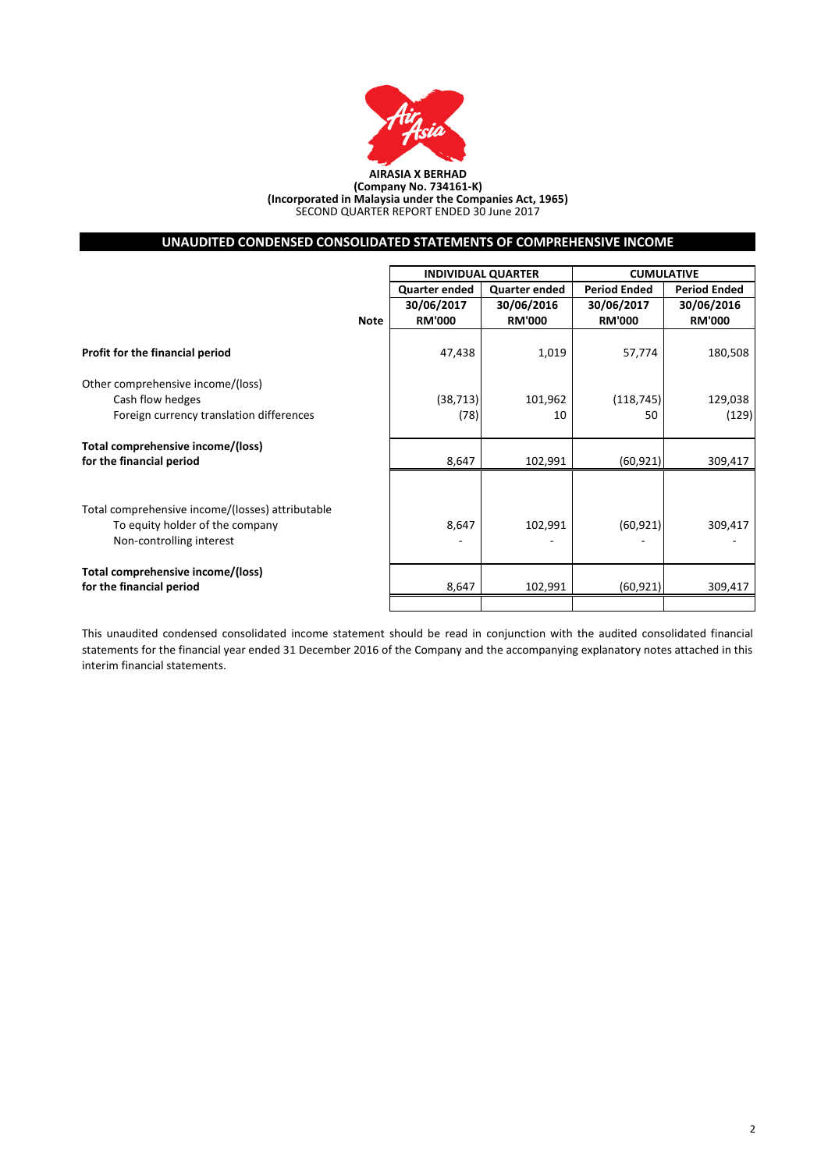

#### **AIRASIA X BERHAD (Company No. 734161-K) (Incorporated in Malaysia under the Companies Act, 1965)** SECOND QUARTER REPORT ENDED 30 June 2017

# **UNAUDITED CONDENSED CONSOLIDATED STATEMENTS OF COMPREHENSIVE INCOME**

|                                                               |             | <b>INDIVIDUAL QUARTER</b> |                      | <b>CUMULATIVE</b>   |               |  |
|---------------------------------------------------------------|-------------|---------------------------|----------------------|---------------------|---------------|--|
|                                                               |             | <b>Quarter ended</b>      | <b>Quarter ended</b> | <b>Period Ended</b> |               |  |
|                                                               |             | 30/06/2017                | 30/06/2016           | 30/06/2017          | 30/06/2016    |  |
|                                                               | <b>Note</b> | <b>RM'000</b>             | <b>RM'000</b>        | <b>RM'000</b>       | <b>RM'000</b> |  |
|                                                               |             |                           |                      |                     |               |  |
| Profit for the financial period                               |             | 47,438                    | 1,019                | 57,774              | 180,508       |  |
| Other comprehensive income/(loss)                             |             |                           |                      |                     |               |  |
| Cash flow hedges                                              |             | (38, 713)                 | 101,962              | (118, 745)          | 129,038       |  |
| Foreign currency translation differences                      |             | (78)                      | 10                   | 50                  | (129)         |  |
|                                                               |             |                           |                      |                     |               |  |
| Total comprehensive income/(loss)<br>for the financial period |             | 8,647                     | 102,991              | (60, 921)           | 309,417       |  |
|                                                               |             |                           |                      |                     |               |  |
| Total comprehensive income/(losses) attributable              |             |                           |                      |                     |               |  |
| To equity holder of the company                               |             | 8,647                     | 102,991              | (60, 921)           | 309,417       |  |
| Non-controlling interest                                      |             |                           |                      |                     |               |  |
|                                                               |             |                           |                      |                     |               |  |
| Total comprehensive income/(loss)                             |             |                           |                      |                     |               |  |
| for the financial period                                      |             | 8,647                     | 102,991              | (60, 921)           | 309,417       |  |
|                                                               |             |                           |                      |                     |               |  |

This unaudited condensed consolidated income statement should be read in conjunction with the audited consolidated financial statements for the financial year ended 31 December 2016 of the Company and the accompanying explanatory notes attached in this interim financial statements.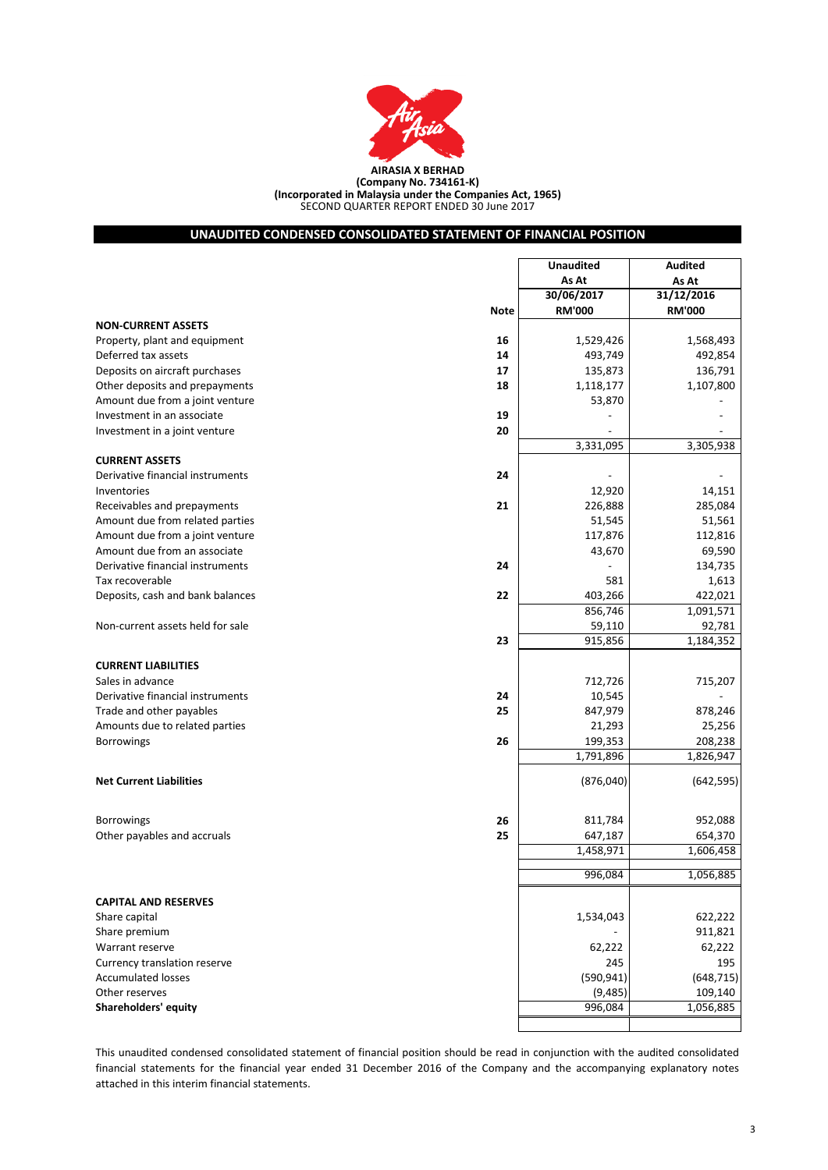

SECOND QUARTER REPORT ENDED 30 June 2017 **(Company No. 734161-K) (Incorporated in Malaysia under the Companies Act, 1965)**

**UNAUDITED CONDENSED CONSOLIDATED STATEMENT OF FINANCIAL POSITION**

# **30/06/2017 31/12/2016 Note RM'000 RM'000 NON-CURRENT ASSETS** Property, plant and equipment **16** 1,529,426 1,529,426 1,568,493 Deferred tax assets **14** 493,749 492,854 **Deposits on aircraft purchases 17** 135,873 136,791 136,791 Other deposits and prepayments **18** 1,118,177 1,118,177 1,107,800 Amount due from a joint venture 63,870  $\sim$  53,870 Investment in an associate **19** - - Investment in a joint venture **20**  $\sim$  20 3,331,095 3,305,938 **CURRENT ASSETS Derivative financial instruments 24**  $\overline{a}$ Inventories  $12,920$   $14,151$ Receivables and prepayments **21** 226,888 285,084 Amount due from related parties 61,561 51,561 51,561 Amount due from a joint venture 117,876 112,816 Amount due from an associate 69,590 69,590 69,590 69,590 69,590 69,590 69,590 69,590 69,590 69,590 69,590 69,590 69,590 69,590 69,590 69,590 69,590 69,590 69,590 69,590 69,590 69,590 69,590 69,590 69,590 69,590 69,590 69,5 Derivative financial instruments **24** - 134,735 Tax recoverable  $1,613$ Deposits, cash and bank balances **22** 403,266 422,021 856,746 1,091,571 Non-current assets held for sale 59,110 92,781 **23** 915,856 1,184,352 **CURRENT LIABILITIES** Sales in advance 2008 712,207 and 2008 712,726 712,726 715,207 715,207 and 2008 715,207  $\sim$  715,207  $\sim$  715,207  $\sim$  715,207  $\sim$  716,207  $\sim$  716,207  $\sim$  716,207  $\sim$  716,207  $\sim$  716,207  $\sim$  716,207  $\sim$  716,207  $\sim$ Derivative financial instruments **24** 10,545 -Trade and other payables **25** 847,979 878,246 Amounts due to related parties 25,256 Borrowings **26** 199,353 208,238 1,791,896 1,826,947 **Net Current Liabilities** (876,040) (642,595) Borrowings **26** 811,784 952,088 Other payables and accruals **25** 654,370 654,370 1,458,971 1,606,458 996,084 1,056,885 **CAPITAL AND RESERVES** Share capital 1,534,043 622,222 Share premium and the state of the state of the state of the state of the state of the state of the state of the state of the state of the state of the state of the state of the state of the state of the state of the state Warrant reserve 62,222 62,222 62,222 62,222 62,222 62,222 62,222 62,222 62,222 62,222 62,222 62,222 62,222 62,222 62,222 62,222 62,222 62,222 62,222 62,222 62,222 62,222 62,222 62,222 62,222 62,222 62,222 62,222 62,222 62, Currency translation reserve 295 195 Accumulated losses (590,941) (648,715) Other reserves (9,485) 109,140 **Shareholders' equity** 1,056,885 **Unaudited As At Audited As At**

This unaudited condensed consolidated statement of financial position should be read in conjunction with the audited consolidated financial statements for the financial year ended 31 December 2016 of the Company and the accompanying explanatory notes attached in this interim financial statements.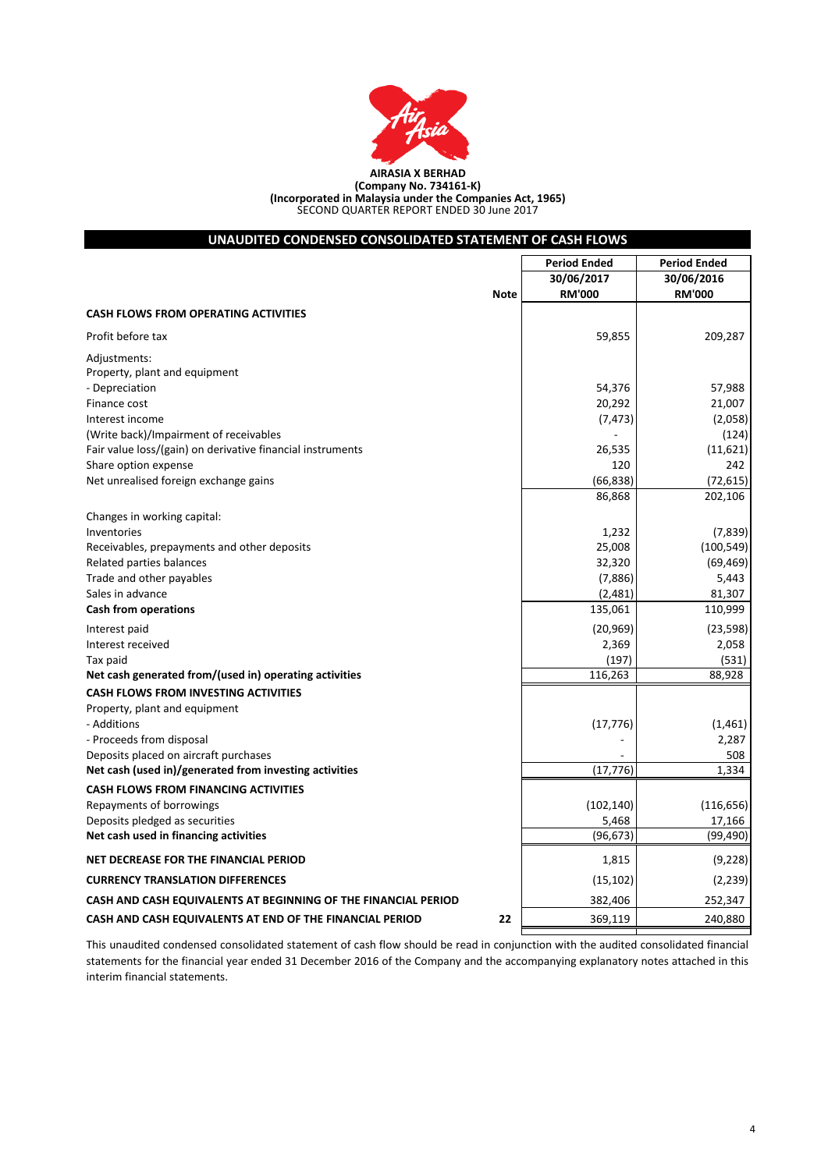

| UNAUDITED CONDENSED CONSOLIDATED STATEMENT OF CASH FLOWS       |                                   |                                   |
|----------------------------------------------------------------|-----------------------------------|-----------------------------------|
|                                                                | <b>Period Ended</b><br>30/06/2017 | <b>Period Ended</b><br>30/06/2016 |
| <b>Note</b>                                                    | <b>RM'000</b>                     | <b>RM'000</b>                     |
| <b>CASH FLOWS FROM OPERATING ACTIVITIES</b>                    |                                   |                                   |
| Profit before tax                                              | 59,855                            | 209,287                           |
| Adjustments:                                                   |                                   |                                   |
| Property, plant and equipment                                  |                                   |                                   |
| - Depreciation                                                 | 54,376                            | 57,988                            |
| Finance cost                                                   | 20,292                            | 21,007                            |
| Interest income                                                | (7, 473)                          | (2,058)                           |
| (Write back)/Impairment of receivables                         |                                   | (124)                             |
| Fair value loss/(gain) on derivative financial instruments     | 26,535                            | (11,621)                          |
| Share option expense                                           | 120                               | 242                               |
| Net unrealised foreign exchange gains                          | (66, 838)                         | (72, 615)                         |
|                                                                | 86,868                            | 202,106                           |
| Changes in working capital:                                    |                                   |                                   |
| Inventories                                                    | 1,232                             | (7, 839)                          |
| Receivables, prepayments and other deposits                    | 25,008                            | (100, 549)                        |
| Related parties balances                                       | 32,320                            | (69, 469)                         |
| Trade and other payables                                       | (7,886)                           | 5,443                             |
| Sales in advance                                               | (2,481)                           | 81,307                            |
| <b>Cash from operations</b>                                    | 135,061                           | 110,999                           |
| Interest paid                                                  | (20, 969)                         | (23, 598)                         |
| Interest received                                              | 2,369                             | 2,058                             |
| Tax paid                                                       | (197)                             | (531)                             |
| Net cash generated from/(used in) operating activities         | 116,263                           | 88,928                            |
| <b>CASH FLOWS FROM INVESTING ACTIVITIES</b>                    |                                   |                                   |
| Property, plant and equipment                                  |                                   |                                   |
| - Additions                                                    | (17, 776)                         | (1,461)                           |
| - Proceeds from disposal                                       |                                   | 2,287                             |
| Deposits placed on aircraft purchases                          |                                   | 508                               |
| Net cash (used in)/generated from investing activities         | (17, 776)                         | 1,334                             |
| <b>CASH FLOWS FROM FINANCING ACTIVITIES</b>                    |                                   |                                   |
| Repayments of borrowings                                       | (102, 140)                        | (116, 656)                        |
| Deposits pledged as securities                                 | 5,468                             | 17,166                            |
| Net cash used in financing activities                          | (96, 673)                         | (99, 490)                         |
| NET DECREASE FOR THE FINANCIAL PERIOD                          | 1,815                             | (9,228)                           |
| <b>CURRENCY TRANSLATION DIFFERENCES</b>                        | (15, 102)                         | (2, 239)                          |
| CASH AND CASH EQUIVALENTS AT BEGINNING OF THE FINANCIAL PERIOD | 382,406                           | 252,347                           |
| CASH AND CASH EQUIVALENTS AT END OF THE FINANCIAL PERIOD<br>22 | 369,119                           | 240,880                           |

This unaudited condensed consolidated statement of cash flow should be read in conjunction with the audited consolidated financial statements for the financial year ended 31 December 2016 of the Company and the accompanying explanatory notes attached in this interim financial statements.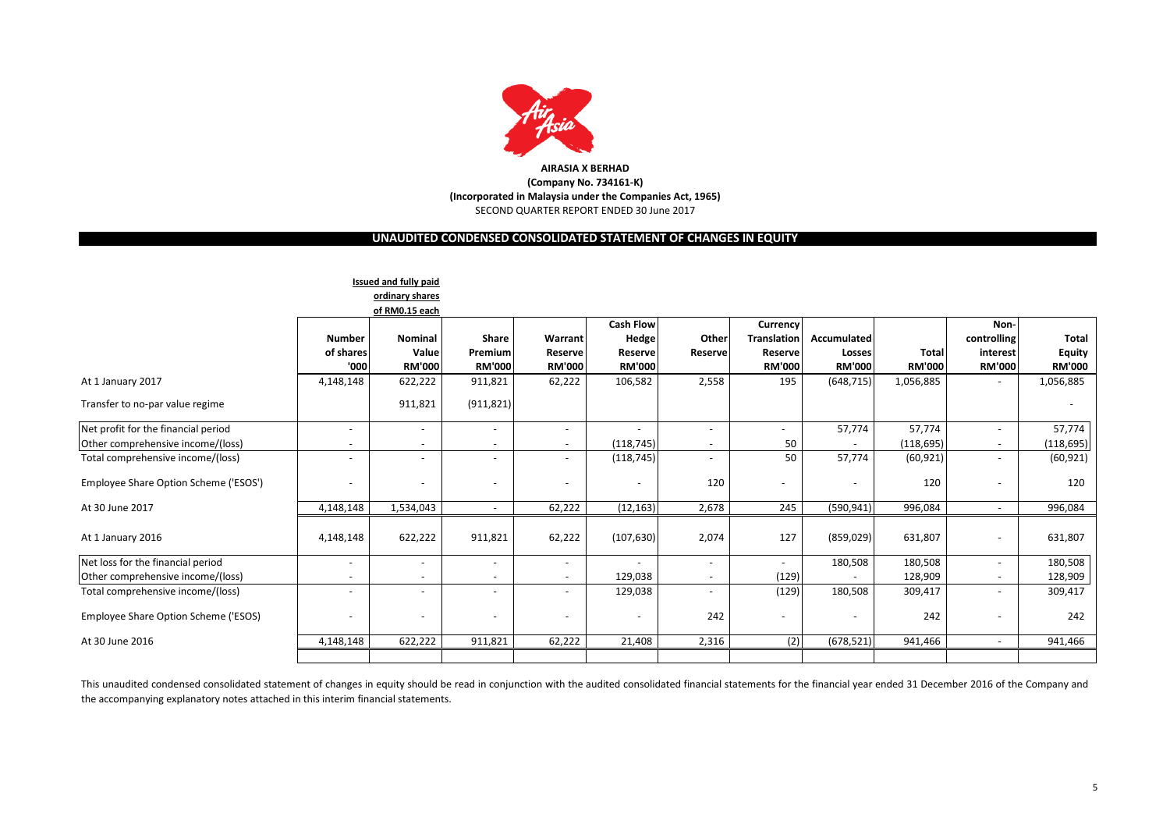

# **UNAUDITED CONDENSED CONSOLIDATED STATEMENT OF CHANGES IN EQUITY**

|                                       |                          | <b>Issued and fully paid</b> |                          |                          |                          |         |                          |               |               |                          |               |
|---------------------------------------|--------------------------|------------------------------|--------------------------|--------------------------|--------------------------|---------|--------------------------|---------------|---------------|--------------------------|---------------|
|                                       |                          | ordinary shares              |                          |                          |                          |         |                          |               |               |                          |               |
|                                       |                          | of RM0.15 each               |                          |                          |                          |         |                          |               |               |                          |               |
|                                       |                          |                              |                          |                          | <b>Cash Flow</b>         |         | Currency                 |               |               | <b>Non</b>               |               |
|                                       | <b>Number</b>            | <b>Nominal</b>               | Share                    | Warrant                  | Hedge                    | Other   | <b>Translation</b>       | Accumulated   |               | controlling              | <b>Total</b>  |
|                                       | of shares                | Value                        | Premium                  | Reserve                  | Reserve                  | Reserve | <b>Reserve</b>           | Losses        | <b>Total</b>  | interest                 | <b>Equity</b> |
|                                       | '000                     | <b>RM'000</b>                | <b>RM'000</b>            | <b>RM'000</b>            | <b>RM'000</b>            |         | <b>RM'000</b>            | <b>RM'000</b> | <b>RM'000</b> | <b>RM'000</b>            | <b>RM'000</b> |
| At 1 January 2017                     | 4,148,148                | 622,222                      | 911,821                  | 62,222                   | 106,582                  | 2,558   | 195                      | (648, 715)    | 1,056,885     |                          | 1,056,885     |
| Transfer to no-par value regime       |                          | 911,821                      | (911, 821)               |                          |                          |         |                          |               |               |                          |               |
| Net profit for the financial period   | $\overline{\phantom{a}}$ |                              |                          | $\overline{\phantom{a}}$ |                          |         | $\overline{\phantom{a}}$ | 57,774        | 57,774        |                          | 57,774        |
| Other comprehensive income/(loss)     | $\overline{\phantom{a}}$ |                              |                          | $\overline{\phantom{a}}$ | (118, 745)               |         | 50                       |               | (118, 695)    | $\overline{\phantom{a}}$ | (118, 695)    |
| Total comprehensive income/(loss)     | $\overline{\phantom{a}}$ |                              |                          | $\overline{\phantom{0}}$ | (118, 745)               |         | 50                       | 57,774        | (60, 921)     |                          | (60, 921)     |
| Employee Share Option Scheme ('ESOS') | $\overline{\phantom{a}}$ |                              |                          |                          | $\overline{\phantom{a}}$ | 120     |                          |               | 120           |                          | 120           |
| At 30 June 2017                       | 4,148,148                | 1,534,043                    |                          | 62,222                   | (12, 163)                | 2,678   | 245                      | (590, 941)    | 996,084       | $\sim$                   | 996,084       |
| At 1 January 2016                     | 4,148,148                | 622,222                      | 911,821                  | 62,222                   | (107, 630)               | 2,074   | 127                      | (859, 029)    | 631,807       | $\overline{\phantom{a}}$ | 631,807       |
| Net loss for the financial period     | $\overline{\phantom{a}}$ |                              |                          | $\overline{\phantom{a}}$ | $\overline{a}$           |         | $\sim$                   | 180,508       | 180,508       | $\overline{\phantom{a}}$ | 180,508       |
| Other comprehensive income/(loss)     | $\overline{\phantom{a}}$ |                              |                          | $\sim$                   | 129,038                  |         | (129)                    |               | 128,909       | $\overline{\phantom{a}}$ | 128,909       |
| Total comprehensive income/(loss)     | $\overline{a}$           |                              |                          | $\overline{\phantom{a}}$ | 129,038                  |         | (129)                    | 180,508       | 309,417       | $\overline{\phantom{a}}$ | 309,417       |
| Employee Share Option Scheme ('ESOS)  | $\overline{\phantom{a}}$ | $\overline{\phantom{a}}$     | $\overline{\phantom{0}}$ |                          | $\overline{\phantom{a}}$ | 242     |                          |               | 242           |                          | 242           |
| At 30 June 2016                       | 4,148,148                | 622,222                      | 911,821                  | 62,222                   | 21,408                   | 2,316   | (2)                      | (678, 521)    | 941,466       | $\overline{\phantom{a}}$ | 941,466       |
|                                       |                          |                              |                          |                          |                          |         |                          |               |               |                          |               |

This unaudited condensed consolidated statement of changes in equity should be read in conjunction with the audited consolidated financial statements for the financial year ended 31 December 2016 of the Company and the accompanying explanatory notes attached in this interim financial statements.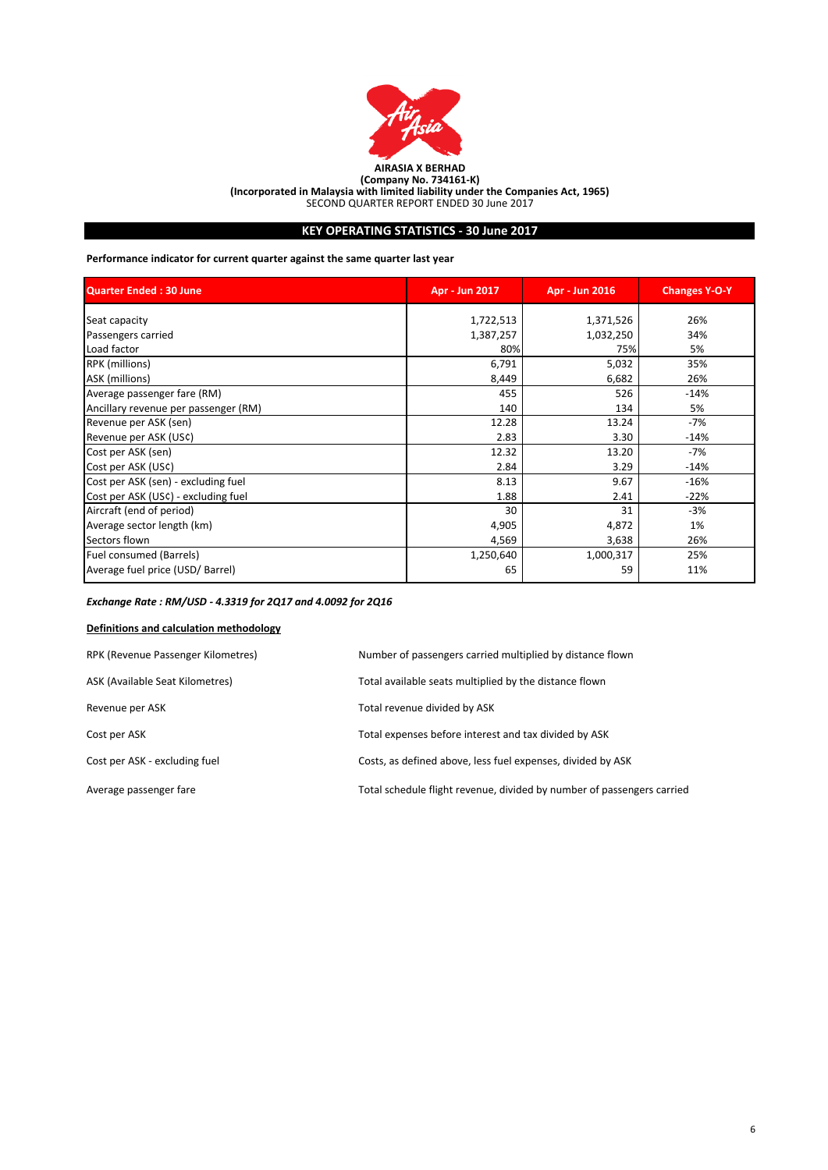

# **KEY OPERATING STATISTICS - 30 June 2017**

**Performance indicator for current quarter against the same quarter last year**

| Quarter Ended: 30 June               | Apr - Jun 2017 | Apr - Jun 2016 | <b>Changes Y-O-Y</b> |
|--------------------------------------|----------------|----------------|----------------------|
| Seat capacity                        | 1,722,513      | 1,371,526      | 26%                  |
| Passengers carried                   | 1,387,257      | 1,032,250      | 34%                  |
| Load factor                          | 80%            | 75%            | 5%                   |
| RPK (millions)                       | 6,791          | 5,032          | 35%                  |
| ASK (millions)                       | 8,449          | 6,682          | 26%                  |
| Average passenger fare (RM)          | 455            | 526            | $-14%$               |
| Ancillary revenue per passenger (RM) | 140            | 134            | 5%                   |
| Revenue per ASK (sen)                | 12.28          | 13.24          | $-7%$                |
| Revenue per ASK (US¢)                | 2.83           | 3.30           | $-14%$               |
| Cost per ASK (sen)                   | 12.32          | 13.20          | -7%                  |
| Cost per ASK (US¢)                   | 2.84           | 3.29           | $-14%$               |
| Cost per ASK (sen) - excluding fuel  | 8.13           | 9.67           | $-16%$               |
| Cost per ASK (USC) - excluding fuel  | 1.88           | 2.41           | $-22%$               |
| Aircraft (end of period)             | 30             | 31             | $-3%$                |
| Average sector length (km)           | 4,905          | 4,872          | 1%                   |
| Sectors flown                        | 4,569          | 3,638          | 26%                  |
| Fuel consumed (Barrels)              | 1,250,640      | 1,000,317      | 25%                  |
| Average fuel price (USD/ Barrel)     | 65             | 59             | 11%                  |

# *Exchange Rate : RM/USD - 4.3319 for 2Q17 and 4.0092 for 2Q16*

# **Definitions and calculation methodology**

| RPK (Revenue Passenger Kilometres) | Number of passengers carried multiplied by distance flown              |
|------------------------------------|------------------------------------------------------------------------|
| ASK (Available Seat Kilometres)    | Total available seats multiplied by the distance flown                 |
| Revenue per ASK                    | Total revenue divided by ASK                                           |
| Cost per ASK                       | Total expenses before interest and tax divided by ASK                  |
| Cost per ASK - excluding fuel      | Costs, as defined above, less fuel expenses, divided by ASK            |
| Average passenger fare             | Total schedule flight revenue, divided by number of passengers carried |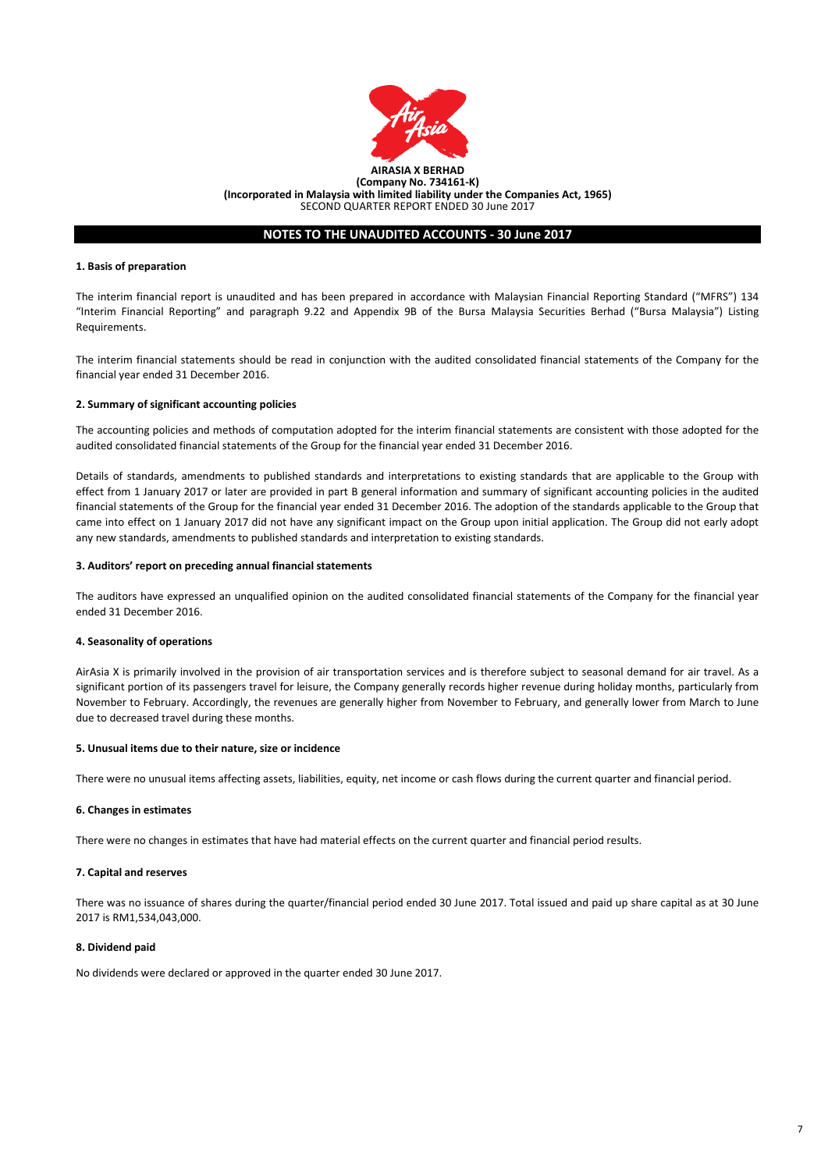

SECOND QUARTER REPORT ENDED 30 June 2017

### **NOTES TO THE UNAUDITED ACCOUNTS - 30 June 2017**

#### **1. Basis of preparation**

The interim financial report is unaudited and has been prepared in accordance with Malaysian Financial Reporting Standard ("MFRS") 134 "Interim Financial Reporting" and paragraph 9.22 and Appendix 9B of the Bursa Malaysia Securities Berhad ("Bursa Malaysia") Listing Requirements.

The interim financial statements should be read in conjunction with the audited consolidated financial statements of the Company for the financial year ended 31 December 2016.

#### **2. Summary of significant accounting policies**

The accounting policies and methods of computation adopted for the interim financial statements are consistent with those adopted for the audited consolidated financial statements of the Group for the financial year ended 31 December 2016.

Details of standards, amendments to published standards and interpretations to existing standards that are applicable to the Group with effect from 1 January 2017 or later are provided in part B general information and summary of significant accounting policies in the audited financial statements of the Group for the financial year ended 31 December 2016. The adoption of the standards applicable to the Group that came into effect on 1 January 2017 did not have any significant impact on the Group upon initial application. The Group did not early adopt any new standards, amendments to published standards and interpretation to existing standards.

#### **3. Auditors' report on preceding annual financial statements**

The auditors have expressed an unqualified opinion on the audited consolidated financial statements of the Company for the financial year ended 31 December 2016.

#### **4. Seasonality of operations**

AirAsia X is primarily involved in the provision of air transportation services and is therefore subject to seasonal demand for air travel. As a significant portion of its passengers travel for leisure, the Company generally records higher revenue during holiday months, particularly from November to February. Accordingly, the revenues are generally higher from November to February, and generally lower from March to June due to decreased travel during these months.

#### **5. Unusual items due to their nature, size or incidence**

There were no unusual items affecting assets, liabilities, equity, net income or cash flows during the current quarter and financial period.

#### **6. Changes in estimates**

There were no changes in estimates that have had material effects on the current quarter and financial period results.

#### **7. Capital and reserves**

There was no issuance of shares during the quarter/financial period ended 30 June 2017. Total issued and paid up share capital as at 30 June 2017 is RM1,534,043,000.

#### **8. Dividend paid**

No dividends were declared or approved in the quarter ended 30 June 2017.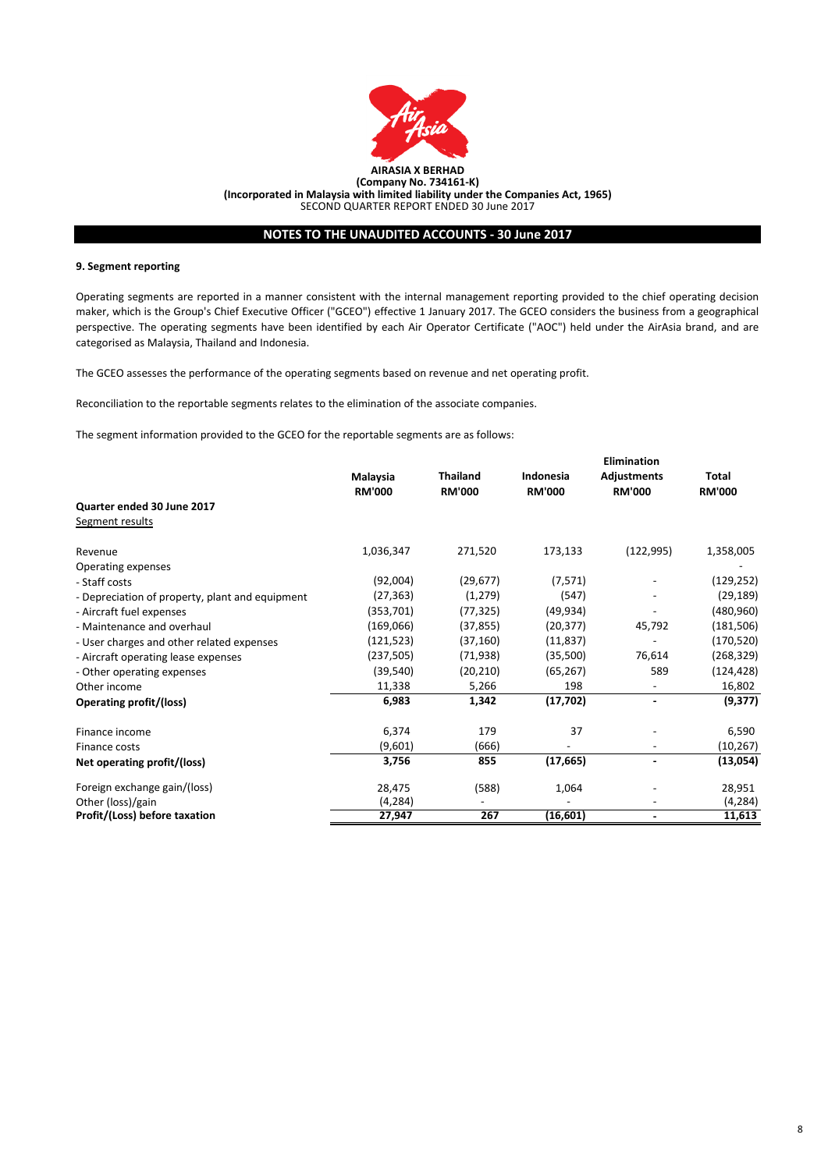

# **NOTES TO THE UNAUDITED ACCOUNTS - 30 June 2017**

#### **9. Segment reporting**

Operating segments are reported in a manner consistent with the internal management reporting provided to the chief operating decision maker, which is the Group's Chief Executive Officer ("GCEO") effective 1 January 2017. The GCEO considers the business from a geographical perspective. The operating segments have been identified by each Air Operator Certificate ("AOC") held under the AirAsia brand, and are categorised as Malaysia, Thailand and Indonesia.

The GCEO assesses the performance of the operating segments based on revenue and net operating profit.

Reconciliation to the reportable segments relates to the elimination of the associate companies.

The segment information provided to the GCEO for the reportable segments are as follows:

|                                                 |                           |                                  | Elimination                |                                     |                        |  |
|-------------------------------------------------|---------------------------|----------------------------------|----------------------------|-------------------------------------|------------------------|--|
|                                                 | Malaysia<br><b>RM'000</b> | <b>Thailand</b><br><b>RM'000</b> | Indonesia<br><b>RM'000</b> | <b>Adjustments</b><br><b>RM'000</b> | Total<br><b>RM'000</b> |  |
| Quarter ended 30 June 2017                      |                           |                                  |                            |                                     |                        |  |
| Segment results                                 |                           |                                  |                            |                                     |                        |  |
| Revenue                                         | 1,036,347                 | 271,520                          | 173,133                    | (122, 995)                          | 1,358,005              |  |
| Operating expenses                              |                           |                                  |                            |                                     |                        |  |
| - Staff costs                                   | (92,004)                  | (29, 677)                        | (7, 571)                   |                                     | (129,252)              |  |
| - Depreciation of property, plant and equipment | (27, 363)                 | (1, 279)                         | (547)                      |                                     | (29, 189)              |  |
| - Aircraft fuel expenses                        | (353,701)                 | (77, 325)                        | (49, 934)                  |                                     | (480, 960)             |  |
| - Maintenance and overhaul                      | (169,066)                 | (37, 855)                        | (20, 377)                  | 45,792                              | (181, 506)             |  |
| - User charges and other related expenses       | (121, 523)                | (37, 160)                        | (11, 837)                  |                                     | (170, 520)             |  |
| - Aircraft operating lease expenses             | (237, 505)                | (71, 938)                        | (35,500)                   | 76,614                              | (268, 329)             |  |
| - Other operating expenses                      | (39, 540)                 | (20, 210)                        | (65, 267)                  | 589                                 | (124, 428)             |  |
| Other income                                    | 11,338                    | 5,266                            | 198                        | $\overline{\phantom{0}}$            | 16,802                 |  |
| Operating profit/(loss)                         | 6,983                     | 1,342                            | (17, 702)                  | $\overline{\phantom{a}}$            | (9,377)                |  |
| Finance income                                  | 6,374                     | 179                              | 37                         |                                     | 6,590                  |  |
| Finance costs                                   | (9,601)                   | (666)                            |                            |                                     | (10, 267)              |  |
| Net operating profit/(loss)                     | 3,756                     | 855                              | (17, 665)                  | -                                   | (13,054)               |  |
| Foreign exchange gain/(loss)                    | 28,475                    | (588)                            | 1,064                      |                                     | 28,951                 |  |
| Other (loss)/gain                               | (4, 284)                  | $\overline{\phantom{a}}$         |                            |                                     | (4, 284)               |  |
| Profit/(Loss) before taxation                   | 27,947                    | 267                              | (16, 601)                  | ٠                                   | 11,613                 |  |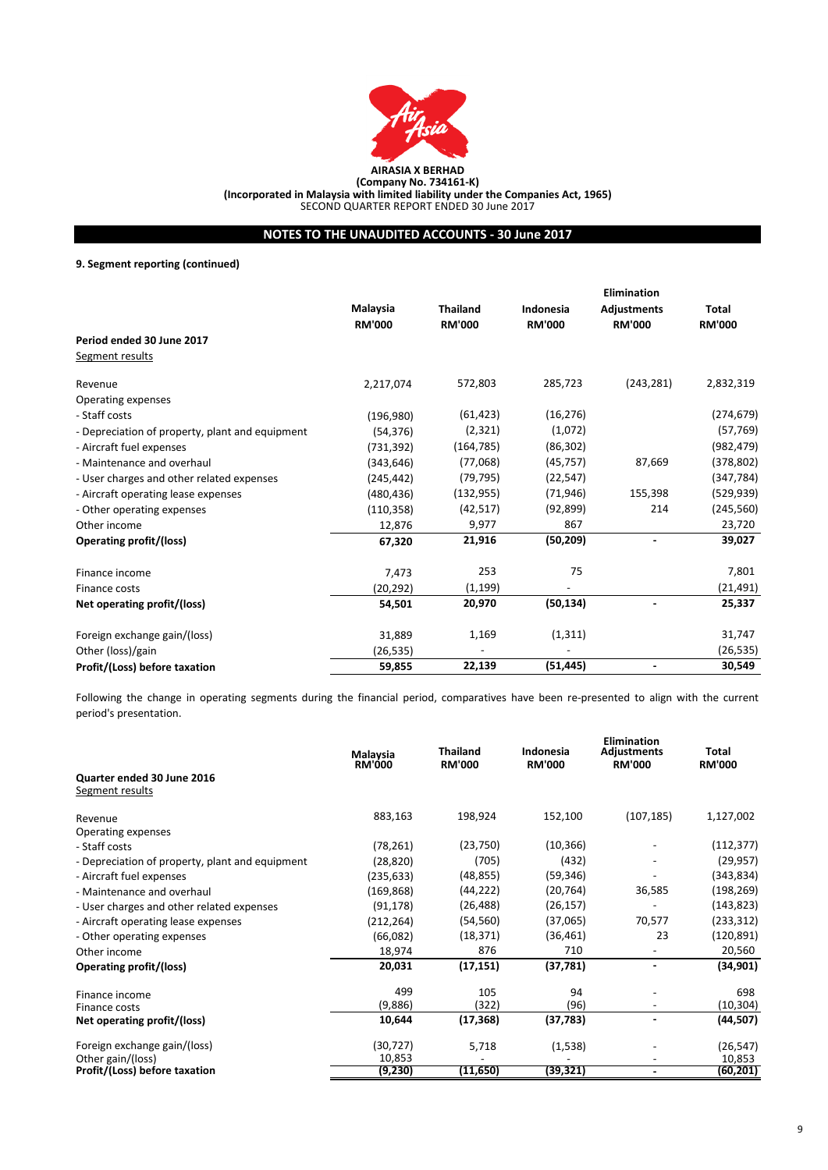

**AIRASIA X BERHAD**

**(Company No. 734161-K) (Incorporated in Malaysia with limited liability under the Companies Act, 1965)**

SECOND QUARTER REPORT ENDED 30 June 2017

# **NOTES TO THE UNAUDITED ACCOUNTS - 30 June 2017**

**9. Segment reporting (continued)**

|                                                 |               |                 |               | <b>Elimination</b> |               |
|-------------------------------------------------|---------------|-----------------|---------------|--------------------|---------------|
|                                                 | Malaysia      | <b>Thailand</b> | Indonesia     | <b>Adjustments</b> | Total         |
|                                                 | <b>RM'000</b> | <b>RM'000</b>   | <b>RM'000</b> | <b>RM'000</b>      | <b>RM'000</b> |
| Period ended 30 June 2017                       |               |                 |               |                    |               |
| Segment results                                 |               |                 |               |                    |               |
| Revenue                                         | 2,217,074     | 572,803         | 285,723       | (243, 281)         | 2,832,319     |
| Operating expenses                              |               |                 |               |                    |               |
| - Staff costs                                   | (196,980)     | (61, 423)       | (16, 276)     |                    | (274, 679)    |
| - Depreciation of property, plant and equipment | (54, 376)     | (2, 321)        | (1,072)       |                    | (57, 769)     |
| - Aircraft fuel expenses                        | (731, 392)    | (164, 785)      | (86, 302)     |                    | (982, 479)    |
| - Maintenance and overhaul                      | (343, 646)    | (77,068)        | (45, 757)     | 87,669             | (378, 802)    |
| - User charges and other related expenses       | (245, 442)    | (79, 795)       | (22, 547)     |                    | (347, 784)    |
| - Aircraft operating lease expenses             | (480, 436)    | (132, 955)      | (71, 946)     | 155,398            | (529, 939)    |
| - Other operating expenses                      | (110, 358)    | (42, 517)       | (92, 899)     | 214                | (245, 560)    |
| Other income                                    | 12,876        | 9,977           | 867           |                    | 23,720        |
| Operating profit/(loss)                         | 67,320        | 21,916          | (50, 209)     | $\blacksquare$     | 39,027        |
| Finance income                                  | 7,473         | 253             | 75            |                    | 7,801         |
| Finance costs                                   | (20, 292)     | (1, 199)        |               |                    | (21,491)      |
| Net operating profit/(loss)                     | 54,501        | 20,970          | (50, 134)     |                    | 25,337        |
| Foreign exchange gain/(loss)                    | 31,889        | 1,169           | (1, 311)      |                    | 31,747        |
| Other (loss)/gain                               | (26, 535)     |                 |               |                    | (26, 535)     |
| Profit/(Loss) before taxation                   | 59,855        | 22,139          | (51, 445)     |                    | 30,549        |

Following the change in operating segments during the financial period, comparatives have been re-presented to align with the current period's presentation.

|                                                 | Malaysia<br><b>RM'000</b> | <b>Thailand</b><br><b>RM'000</b> | Indonesia<br><b>RM'000</b> | Elimination<br>Adjustments<br><b>RM'000</b> | Total<br><b>RM'000</b> |
|-------------------------------------------------|---------------------------|----------------------------------|----------------------------|---------------------------------------------|------------------------|
| Quarter ended 30 June 2016<br>Segment results   |                           |                                  |                            |                                             |                        |
|                                                 |                           |                                  |                            |                                             |                        |
| Revenue                                         | 883,163                   | 198,924                          | 152,100                    | (107, 185)                                  | 1,127,002              |
| Operating expenses                              |                           |                                  |                            |                                             |                        |
| - Staff costs                                   | (78, 261)                 | (23, 750)                        | (10, 366)                  |                                             | (112, 377)             |
| - Depreciation of property, plant and equipment | (28, 820)                 | (705)                            | (432)                      |                                             | (29, 957)              |
| - Aircraft fuel expenses                        | (235, 633)                | (48, 855)                        | (59, 346)                  |                                             | (343,834)              |
| - Maintenance and overhaul                      | (169, 868)                | (44, 222)                        | (20, 764)                  | 36,585                                      | (198, 269)             |
| - User charges and other related expenses       | (91, 178)                 | (26, 488)                        | (26, 157)                  |                                             | (143, 823)             |
| - Aircraft operating lease expenses             | (212, 264)                | (54, 560)                        | (37,065)                   | 70,577                                      | (233, 312)             |
| - Other operating expenses                      | (66,082)                  | (18, 371)                        | (36, 461)                  | 23                                          | (120, 891)             |
| Other income                                    | 18,974                    | 876                              | 710                        |                                             | 20,560                 |
| Operating profit/(loss)                         | 20,031                    | (17, 151)                        | (37, 781)                  |                                             | (34, 901)              |
| Finance income                                  | 499                       | 105                              | 94                         |                                             | 698                    |
| Finance costs                                   | (9,886)                   | (322)                            | (96)                       | $\overline{\phantom{a}}$                    | (10, 304)              |
| Net operating profit/(loss)                     | 10,644                    | (17, 368)                        | (37, 783)                  | ٠                                           | (44,507)               |
| Foreign exchange gain/(loss)                    | (30, 727)                 | 5,718                            | (1,538)                    |                                             | (26, 547)              |
| Other gain/(loss)                               | 10,853                    |                                  |                            |                                             | 10,853                 |
| Profit/(Loss) before taxation                   | (9,230)                   | (11, 650)                        | (39,321)                   |                                             | (60, 201)              |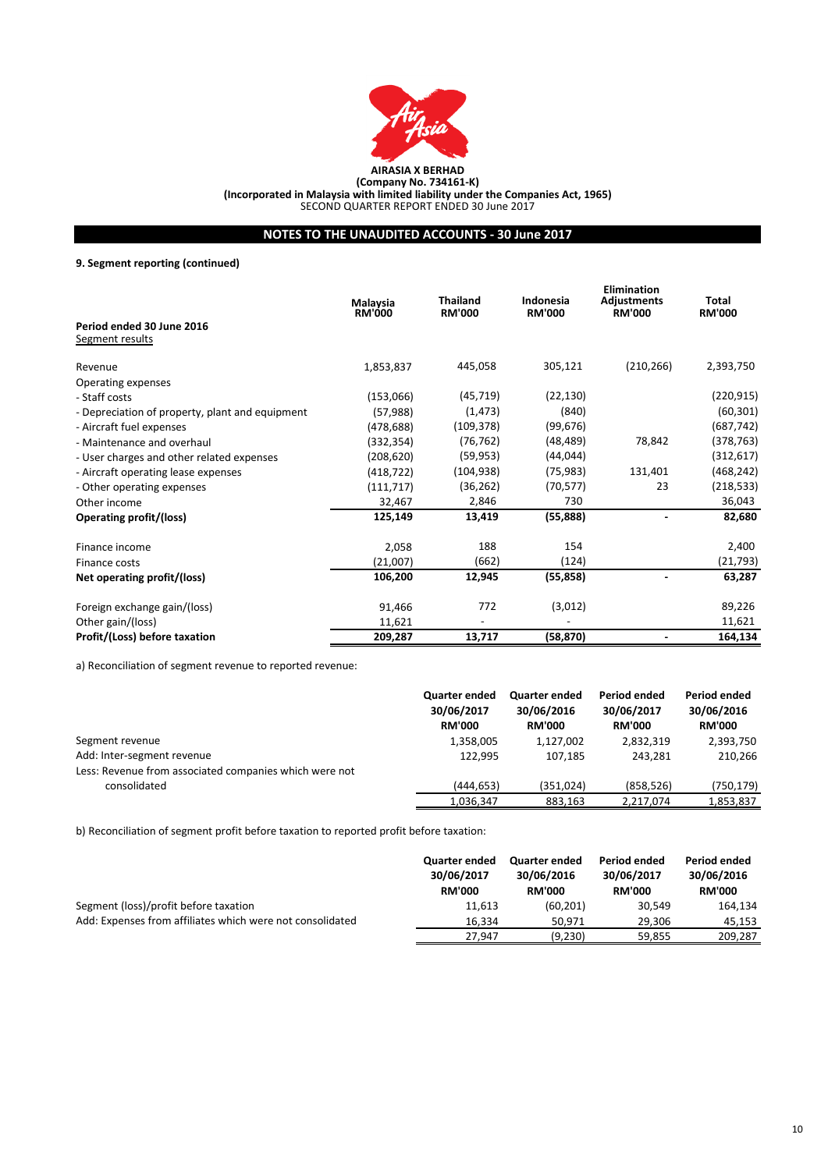

**AIRASIA X BERHAD**

**(Company No. 734161-K) (Incorporated in Malaysia with limited liability under the Companies Act, 1965)**

SECOND QUARTER REPORT ENDED 30 June 2017

# **NOTES TO THE UNAUDITED ACCOUNTS - 30 June 2017**

# **9. Segment reporting (continued)**

|                                                 | Malaysia<br><b>RM'000</b> | <b>Thailand</b><br><b>RM'000</b> | Indonesia<br><b>RM'000</b> | Elimination<br><b>Adjustments</b><br><b>RM'000</b> | Total<br><b>RM'000</b> |
|-------------------------------------------------|---------------------------|----------------------------------|----------------------------|----------------------------------------------------|------------------------|
| Period ended 30 June 2016<br>Segment results    |                           |                                  |                            |                                                    |                        |
| Revenue                                         | 1,853,837                 | 445,058                          | 305,121                    | (210, 266)                                         | 2,393,750              |
| Operating expenses                              |                           |                                  |                            |                                                    |                        |
| - Staff costs                                   | (153,066)                 | (45, 719)                        | (22, 130)                  |                                                    | (220, 915)             |
| - Depreciation of property, plant and equipment | (57, 988)                 | (1, 473)                         | (840)                      |                                                    | (60, 301)              |
| - Aircraft fuel expenses                        | (478, 688)                | (109, 378)                       | (99, 676)                  |                                                    | (687, 742)             |
| - Maintenance and overhaul                      | (332, 354)                | (76, 762)                        | (48, 489)                  | 78,842                                             | (378, 763)             |
| - User charges and other related expenses       | (208, 620)                | (59, 953)                        | (44, 044)                  |                                                    | (312, 617)             |
| - Aircraft operating lease expenses             | (418,722)                 | (104, 938)                       | (75, 983)                  | 131,401                                            | (468, 242)             |
| - Other operating expenses                      | (111, 717)                | (36, 262)                        | (70, 577)                  | 23                                                 | (218, 533)             |
| Other income                                    | 32,467                    | 2,846                            | 730                        |                                                    | 36,043                 |
| <b>Operating profit/(loss)</b>                  | 125,149                   | 13,419                           | (55,888)                   |                                                    | 82,680                 |
| Finance income                                  | 2,058                     | 188                              | 154                        |                                                    | 2,400                  |
| Finance costs                                   | (21,007)                  | (662)                            | (124)                      |                                                    | (21, 793)              |
| Net operating profit/(loss)                     | 106,200                   | 12,945                           | (55, 858)                  |                                                    | 63,287                 |
| Foreign exchange gain/(loss)                    | 91,466                    | 772                              | (3,012)                    |                                                    | 89,226                 |
| Other gain/(loss)                               | 11,621                    | $\overline{\phantom{a}}$         |                            |                                                    | 11,621                 |
| Profit/(Loss) before taxation                   | 209,287                   | 13,717                           | (58, 870)                  |                                                    | 164,134                |

a) Reconciliation of segment revenue to reported revenue:

|                                                        | <b>Quarter ended</b><br>30/06/2017<br><b>RM'000</b> | <b>Quarter ended</b><br>30/06/2016<br><b>RM'000</b> | Period ended<br>30/06/2017<br><b>RM'000</b> | Period ended<br>30/06/2016<br><b>RM'000</b> |
|--------------------------------------------------------|-----------------------------------------------------|-----------------------------------------------------|---------------------------------------------|---------------------------------------------|
| Segment revenue                                        | 1,358,005                                           | 1,127,002                                           | 2,832,319                                   | 2,393,750                                   |
| Add: Inter-segment revenue                             | 122,995                                             | 107.185                                             | 243.281                                     | 210,266                                     |
| Less: Revenue from associated companies which were not |                                                     |                                                     |                                             |                                             |
| consolidated                                           | (444, 653)                                          | (351, 024)                                          | (858, 526)                                  | (750,179)                                   |
|                                                        | 1,036,347                                           | 883,163                                             | 2,217,074                                   | 1,853,837                                   |

b) Reconciliation of segment profit before taxation to reported profit before taxation:

|                                                           | Quarter ended<br>30/06/2017<br><b>RM'000</b> | <b>Quarter ended</b><br>30/06/2016<br><b>RM'000</b> | Period ended<br>30/06/2017<br><b>RM'000</b> | Period ended<br>30/06/2016<br><b>RM'000</b> |
|-----------------------------------------------------------|----------------------------------------------|-----------------------------------------------------|---------------------------------------------|---------------------------------------------|
| Segment (loss)/profit before taxation                     | 11,613                                       | (60, 201)                                           | 30,549                                      | 164,134                                     |
| Add: Expenses from affiliates which were not consolidated | 16.334                                       | 50.971                                              | 29.306                                      | 45.153                                      |
|                                                           | 27.947                                       | (9,230)                                             | 59,855                                      | 209,287                                     |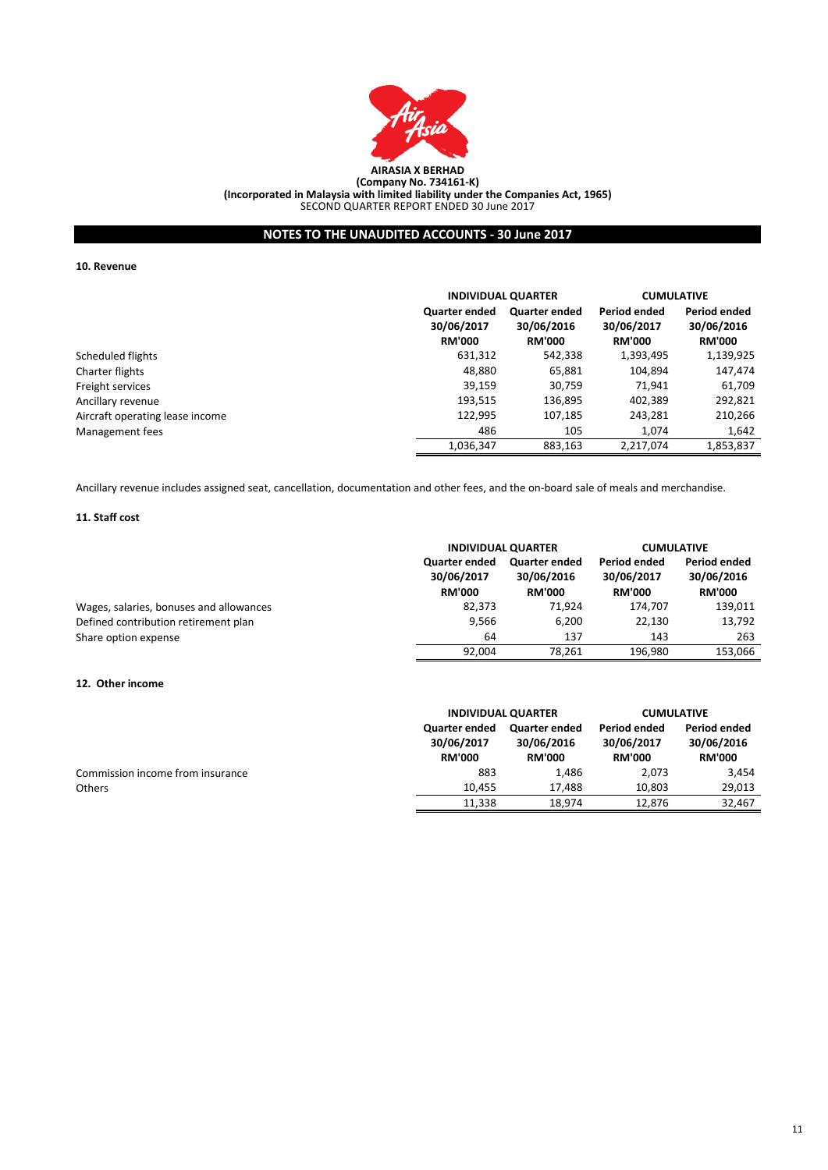

# **NOTES TO THE UNAUDITED ACCOUNTS - 30 June 2017**

**10. Revenue**

|                                 |                                                     | <b>INDIVIDUAL QUARTER</b>                           |                                             | <b>CUMULATIVE</b>                           |
|---------------------------------|-----------------------------------------------------|-----------------------------------------------------|---------------------------------------------|---------------------------------------------|
|                                 | <b>Quarter ended</b><br>30/06/2017<br><b>RM'000</b> | <b>Quarter ended</b><br>30/06/2016<br><b>RM'000</b> | Period ended<br>30/06/2017<br><b>RM'000</b> | Period ended<br>30/06/2016<br><b>RM'000</b> |
| Scheduled flights               | 631,312                                             | 542,338                                             | 1,393,495                                   | 1,139,925                                   |
| Charter flights                 | 48,880                                              | 65,881                                              | 104,894                                     | 147,474                                     |
| Freight services                | 39,159                                              | 30,759                                              | 71.941                                      | 61,709                                      |
| Ancillary revenue               | 193,515                                             | 136,895                                             | 402,389                                     | 292,821                                     |
| Aircraft operating lease income | 122,995                                             | 107,185                                             | 243,281                                     | 210,266                                     |
| Management fees                 | 486                                                 | 105                                                 | 1,074                                       | 1,642                                       |
|                                 | 1,036,347                                           | 883,163                                             | 2,217,074                                   | 1,853,837                                   |

Ancillary revenue includes assigned seat, cancellation, documentation and other fees, and the on-board sale of meals and merchandise.

#### **11. Staff cost**

|                                         | <b>INDIVIDUAL QUARTER</b>                           |                                                     | <b>CUMULATIVE</b>                           |                                                    |
|-----------------------------------------|-----------------------------------------------------|-----------------------------------------------------|---------------------------------------------|----------------------------------------------------|
|                                         | <b>Quarter ended</b><br>30/06/2017<br><b>RM'000</b> | <b>Quarter ended</b><br>30/06/2016<br><b>RM'000</b> | Period ended<br>30/06/2017<br><b>RM'000</b> | <b>Period ended</b><br>30/06/2016<br><b>RM'000</b> |
| Wages, salaries, bonuses and allowances | 82,373                                              | 71.924                                              | 174.707                                     | 139,011                                            |
| Defined contribution retirement plan    | 9,566                                               | 6.200                                               | 22.130                                      | 13,792                                             |
| Share option expense                    | 64                                                  | 137                                                 | 143                                         | 263                                                |
|                                         | 92.004                                              | 78.261                                              | 196.980                                     | 153,066                                            |

### **12. Other income**

|                                  |                                                     | <b>INDIVIDUAL QUARTER</b>                           |                                             | <b>CUMULATIVE</b>                           |
|----------------------------------|-----------------------------------------------------|-----------------------------------------------------|---------------------------------------------|---------------------------------------------|
|                                  | <b>Quarter ended</b><br>30/06/2017<br><b>RM'000</b> | <b>Quarter ended</b><br>30/06/2016<br><b>RM'000</b> | Period ended<br>30/06/2017<br><b>RM'000</b> | Period ended<br>30/06/2016<br><b>RM'000</b> |
| Commission income from insurance | 883                                                 | 1,486                                               | 2.073                                       | 3.454                                       |
| <b>Others</b>                    | 10.455                                              | 17.488                                              | 10,803                                      | 29.013                                      |
|                                  | 11.338                                              | 18.974                                              | 12.876                                      | 32,467                                      |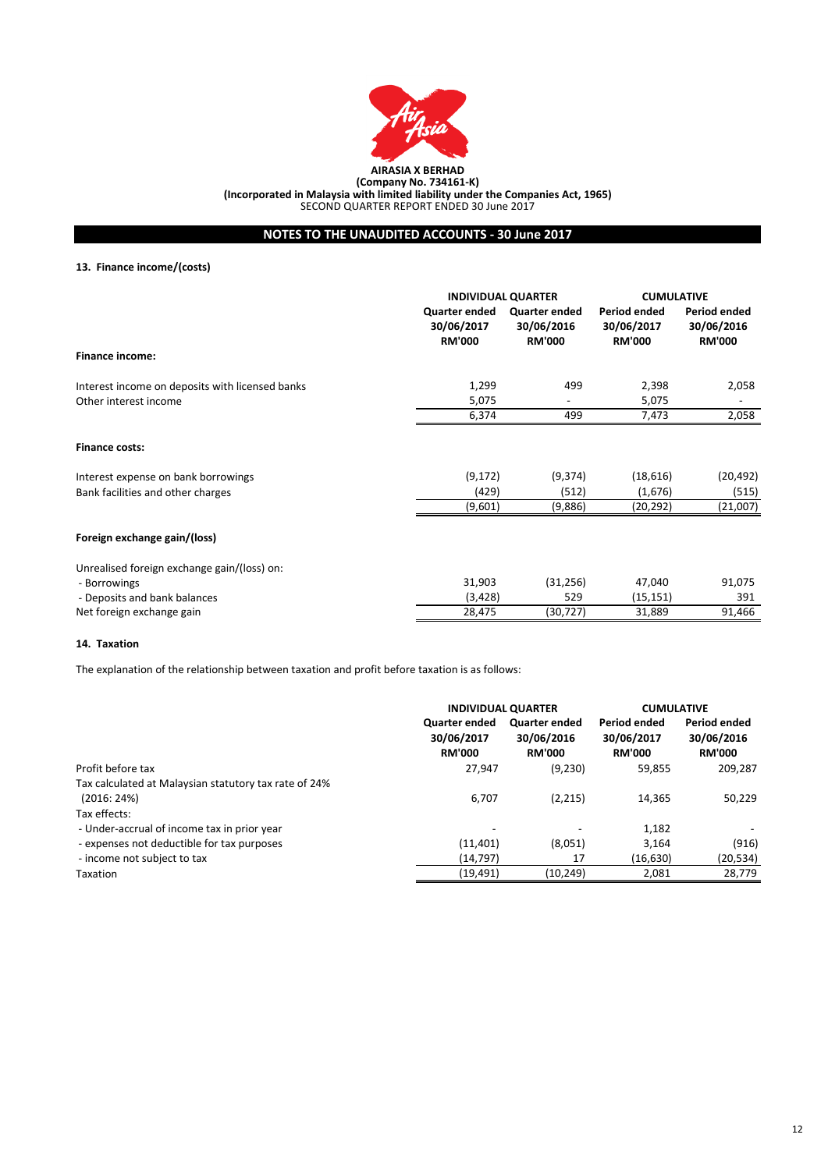

# **NOTES TO THE UNAUDITED ACCOUNTS - 30 June 2017**

# **13. Finance income/(costs)**

|                                                 | <b>INDIVIDUAL QUARTER</b>                    |                                              | <b>CUMULATIVE</b>                           |                                                    |
|-------------------------------------------------|----------------------------------------------|----------------------------------------------|---------------------------------------------|----------------------------------------------------|
|                                                 | Quarter ended<br>30/06/2017<br><b>RM'000</b> | Quarter ended<br>30/06/2016<br><b>RM'000</b> | Period ended<br>30/06/2017<br><b>RM'000</b> | <b>Period ended</b><br>30/06/2016<br><b>RM'000</b> |
| <b>Finance income:</b>                          |                                              |                                              |                                             |                                                    |
| Interest income on deposits with licensed banks | 1,299                                        | 499                                          | 2,398                                       | 2,058                                              |
| Other interest income                           | 5,075                                        |                                              | 5,075                                       |                                                    |
|                                                 | 6,374                                        | 499                                          | 7,473                                       | 2,058                                              |
| <b>Finance costs:</b>                           |                                              |                                              |                                             |                                                    |
| Interest expense on bank borrowings             | (9, 172)                                     | (9,374)                                      | (18,616)                                    | (20, 492)                                          |
| Bank facilities and other charges               | (429)                                        | (512)                                        | (1,676)                                     | (515)                                              |
|                                                 | (9,601)                                      | (9,886)                                      | (20,292)                                    | (21,007)                                           |
| Foreign exchange gain/(loss)                    |                                              |                                              |                                             |                                                    |
| Unrealised foreign exchange gain/(loss) on:     |                                              |                                              |                                             |                                                    |
| - Borrowings                                    | 31,903                                       | (31, 256)                                    | 47,040                                      | 91,075                                             |
| - Deposits and bank balances                    | (3, 428)                                     | 529                                          | (15, 151)                                   | 391                                                |
| Net foreign exchange gain                       | 28,475                                       | (30, 727)                                    | 31,889                                      | 91,466                                             |

#### **14. Taxation**

The explanation of the relationship between taxation and profit before taxation is as follows:

|                                                       | <b>INDIVIDUAL QUARTER</b>                           |                                                     | <b>CUMULATIVE</b>                           |                                             |
|-------------------------------------------------------|-----------------------------------------------------|-----------------------------------------------------|---------------------------------------------|---------------------------------------------|
|                                                       | <b>Quarter ended</b><br>30/06/2017<br><b>RM'000</b> | <b>Quarter ended</b><br>30/06/2016<br><b>RM'000</b> | Period ended<br>30/06/2017<br><b>RM'000</b> | Period ended<br>30/06/2016<br><b>RM'000</b> |
| Profit before tax                                     | 27,947                                              | (9,230)                                             | 59,855                                      | 209,287                                     |
| Tax calculated at Malaysian statutory tax rate of 24% |                                                     |                                                     |                                             |                                             |
| (2016:24%)                                            | 6,707                                               | (2,215)                                             | 14,365                                      | 50,229                                      |
| Tax effects:                                          |                                                     |                                                     |                                             |                                             |
| - Under-accrual of income tax in prior year           |                                                     |                                                     | 1,182                                       |                                             |
| - expenses not deductible for tax purposes            | (11, 401)                                           | (8,051)                                             | 3,164                                       | (916)                                       |
| - income not subject to tax                           | (14, 797)                                           | 17                                                  | (16, 630)                                   | (20,534)                                    |
| Taxation                                              | (19,491)                                            | (10, 249)                                           | 2,081                                       | 28,779                                      |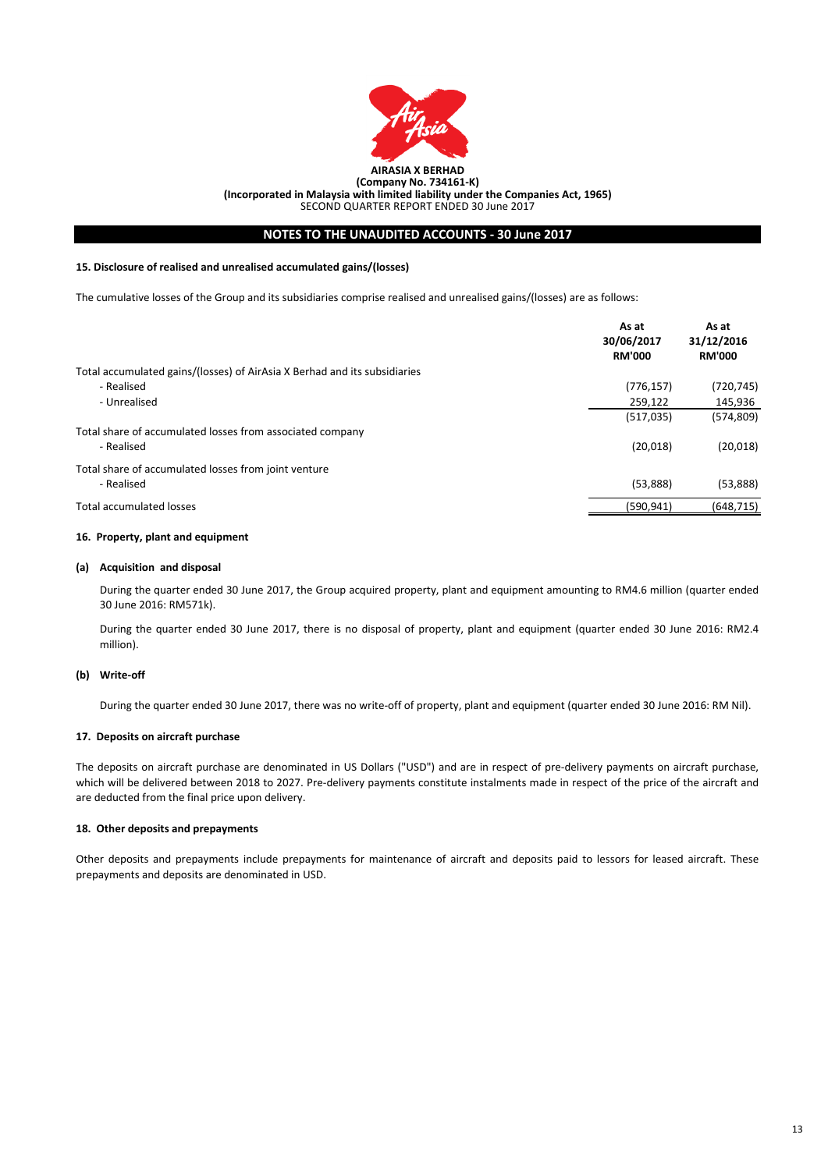

**(Incorporated in Malaysia with limited liability under the Companies Act, 1965)**

SECOND QUARTER REPORT ENDED 30 June 2017

## **NOTES TO THE UNAUDITED ACCOUNTS - 30 June 2017**

### **15. Disclosure of realised and unrealised accumulated gains/(losses)**

The cumulative losses of the Group and its subsidiaries comprise realised and unrealised gains/(losses) are as follows:

|                                                                           | As at<br>30/06/2017<br><b>RM'000</b> | As at<br>31/12/2016<br><b>RM'000</b> |
|---------------------------------------------------------------------------|--------------------------------------|--------------------------------------|
| Total accumulated gains/(losses) of AirAsia X Berhad and its subsidiaries |                                      |                                      |
| - Realised                                                                | (776, 157)                           | (720,745)                            |
| - Unrealised                                                              | 259.122                              | 145,936                              |
|                                                                           | (517, 035)                           | (574, 809)                           |
| Total share of accumulated losses from associated company                 |                                      |                                      |
| - Realised                                                                | (20,018)                             | (20, 018)                            |
| Total share of accumulated losses from joint venture                      |                                      |                                      |
| - Realised                                                                | (53,888)                             | (53,888)                             |
| Total accumulated losses                                                  | (590,941)                            | (648,715)                            |

### **16. Property, plant and equipment**

#### **(a) Acquisition and disposal**

During the quarter ended 30 June 2017, the Group acquired property, plant and equipment amounting to RM4.6 million (quarter ended 30 June 2016: RM571k).

During the quarter ended 30 June 2017, there is no disposal of property, plant and equipment (quarter ended 30 June 2016: RM2.4 million).

## **(b) Write-off**

During the quarter ended 30 June 2017, there was no write-off of property, plant and equipment (quarter ended 30 June 2016: RM Nil).

### **17. Deposits on aircraft purchase**

The deposits on aircraft purchase are denominated in US Dollars ("USD") and are in respect of pre-delivery payments on aircraft purchase, which will be delivered between 2018 to 2027. Pre-delivery payments constitute instalments made in respect of the price of the aircraft and are deducted from the final price upon delivery.

#### **18. Other deposits and prepayments**

Other deposits and prepayments include prepayments for maintenance of aircraft and deposits paid to lessors for leased aircraft. These prepayments and deposits are denominated in USD.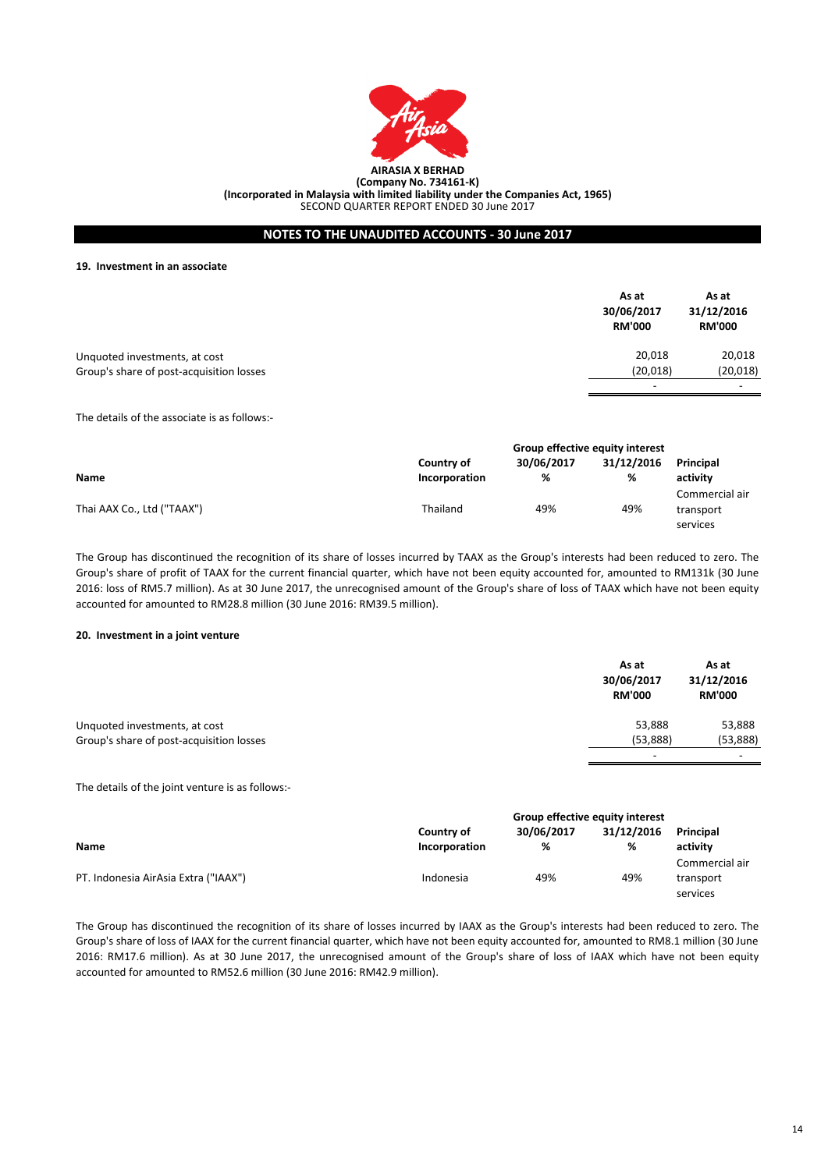

## **NOTES TO THE UNAUDITED ACCOUNTS - 30 June 2017**

**19. Investment in an associate**

|                                          | As at<br>30/06/2017<br><b>RM'000</b> | As at<br>31/12/2016<br><b>RM'000</b> |
|------------------------------------------|--------------------------------------|--------------------------------------|
| Unquoted investments, at cost            | 20,018                               | 20,018                               |
| Group's share of post-acquisition losses | (20, 018)                            | (20, 018)                            |
|                                          | $\overline{\phantom{a}}$             | -                                    |

The details of the associate is as follows:-

|                            | Group effective equity interest |            |            |                  |
|----------------------------|---------------------------------|------------|------------|------------------|
|                            | Country of                      | 30/06/2017 | 31/12/2016 | <b>Principal</b> |
| <b>Name</b>                | Incorporation                   | %          | %          | activity         |
|                            |                                 |            |            | Commercial air   |
| Thai AAX Co., Ltd ("TAAX") | Thailand                        | 49%        | 49%        | transport        |
|                            |                                 |            |            | services         |

The Group has discontinued the recognition of its share of losses incurred by TAAX as the Group's interests had been reduced to zero. The Group's share of profit of TAAX for the current financial quarter, which have not been equity accounted for, amounted to RM131k (30 June 2016: loss of RM5.7 million). As at 30 June 2017, the unrecognised amount of the Group's share of loss of TAAX which have not been equity accounted for amounted to RM28.8 million (30 June 2016: RM39.5 million).

#### **20. Investment in a joint venture**

|                                          | As at<br>30/06/2017<br><b>RM'000</b> | As at<br>31/12/2016<br><b>RM'000</b> |
|------------------------------------------|--------------------------------------|--------------------------------------|
| Unquoted investments, at cost            | 53,888                               | 53,888                               |
| Group's share of post-acquisition losses | (53,888)                             | (53,888)                             |
|                                          | $\overline{\phantom{a}}$             |                                      |

The details of the joint venture is as follows:-

|                                      | Group effective equity interest |            |            |                |
|--------------------------------------|---------------------------------|------------|------------|----------------|
|                                      | Country of                      | 30/06/2017 | 31/12/2016 | Principal      |
| <b>Name</b>                          | Incorporation                   | %          | %          | activity       |
|                                      |                                 |            |            | Commercial air |
| PT. Indonesia AirAsia Extra ("IAAX") | Indonesia                       | 49%        | 49%        | transport      |
|                                      |                                 |            |            | services       |

The Group has discontinued the recognition of its share of losses incurred by IAAX as the Group's interests had been reduced to zero. The Group's share of loss of IAAX for the current financial quarter, which have not been equity accounted for, amounted to RM8.1 million (30 June 2016: RM17.6 million). As at 30 June 2017, the unrecognised amount of the Group's share of loss of IAAX which have not been equity accounted for amounted to RM52.6 million (30 June 2016: RM42.9 million).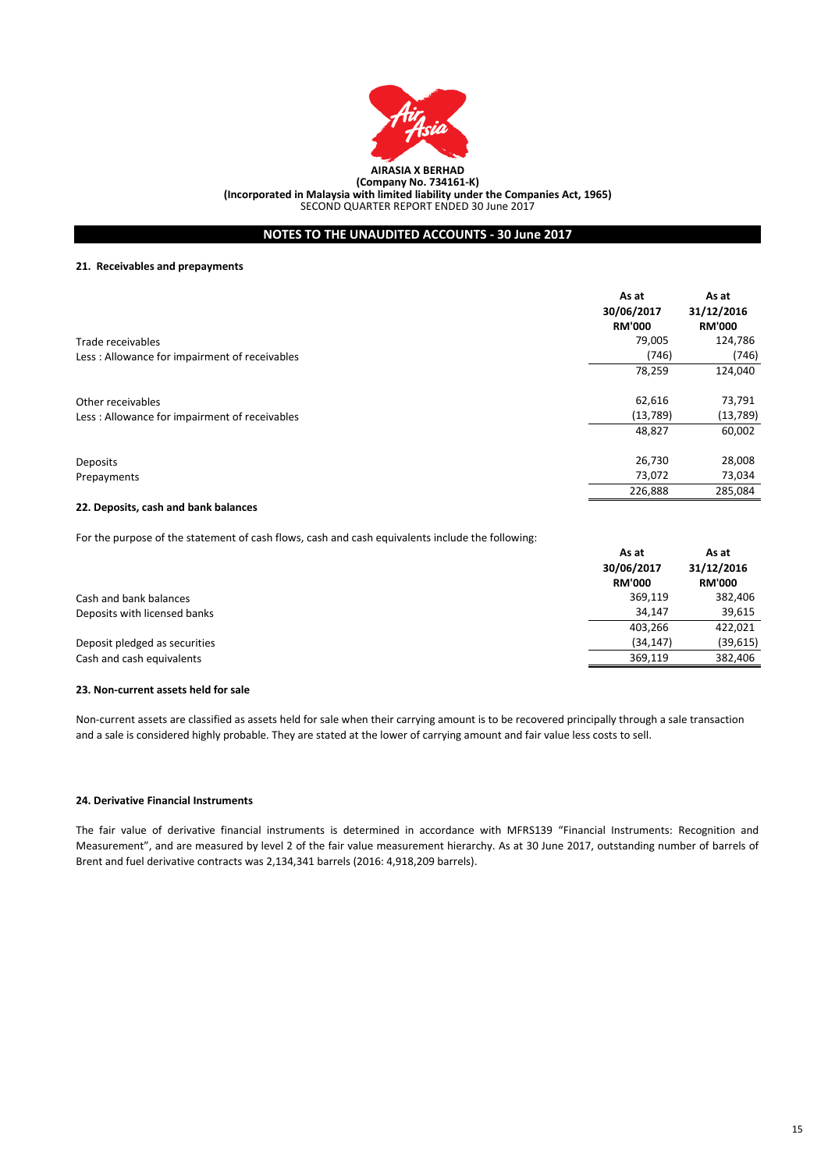

# **NOTES TO THE UNAUDITED ACCOUNTS - 30 June 2017**

### **21. Receivables and prepayments**

|                                               | As at<br>30/06/2017<br><b>RM'000</b> | As at<br>31/12/2016<br><b>RM'000</b> |
|-----------------------------------------------|--------------------------------------|--------------------------------------|
| Trade receivables                             | 79,005                               | 124,786                              |
| Less: Allowance for impairment of receivables | (746)                                | (746)                                |
|                                               | 78,259                               | 124,040                              |
| Other receivables                             | 62,616                               | 73,791                               |
| Less: Allowance for impairment of receivables | (13,789)                             | (13, 789)                            |
|                                               | 48,827                               | 60,002                               |
| Deposits                                      | 26,730                               | 28,008                               |
| Prepayments                                   | 73,072                               | 73,034                               |
|                                               | 226,888                              | 285,084                              |

### **22. Deposits, cash and bank balances**

For the purpose of the statement of cash flows, cash and cash equivalents include the following:

|                               | As at         | As at<br>31/12/2016 |
|-------------------------------|---------------|---------------------|
|                               | 30/06/2017    |                     |
|                               | <b>RM'000</b> | <b>RM'000</b>       |
| Cash and bank balances        | 369.119       | 382,406             |
| Deposits with licensed banks  | 34.147        | 39,615              |
|                               | 403.266       | 422,021             |
| Deposit pledged as securities | (34, 147)     | (39, 615)           |
| Cash and cash equivalents     | 369.119       | 382.406             |

#### **23. Non-current assets held for sale**

Non-current assets are classified as assets held for sale when their carrying amount is to be recovered principally through a sale transaction and a sale is considered highly probable. They are stated at the lower of carrying amount and fair value less costs to sell.

### **24. Derivative Financial Instruments**

The fair value of derivative financial instruments is determined in accordance with MFRS139 "Financial Instruments: Recognition and Measurement", and are measured by level 2 of the fair value measurement hierarchy. As at 30 June 2017, outstanding number of barrels of Brent and fuel derivative contracts was 2,134,341 barrels (2016: 4,918,209 barrels).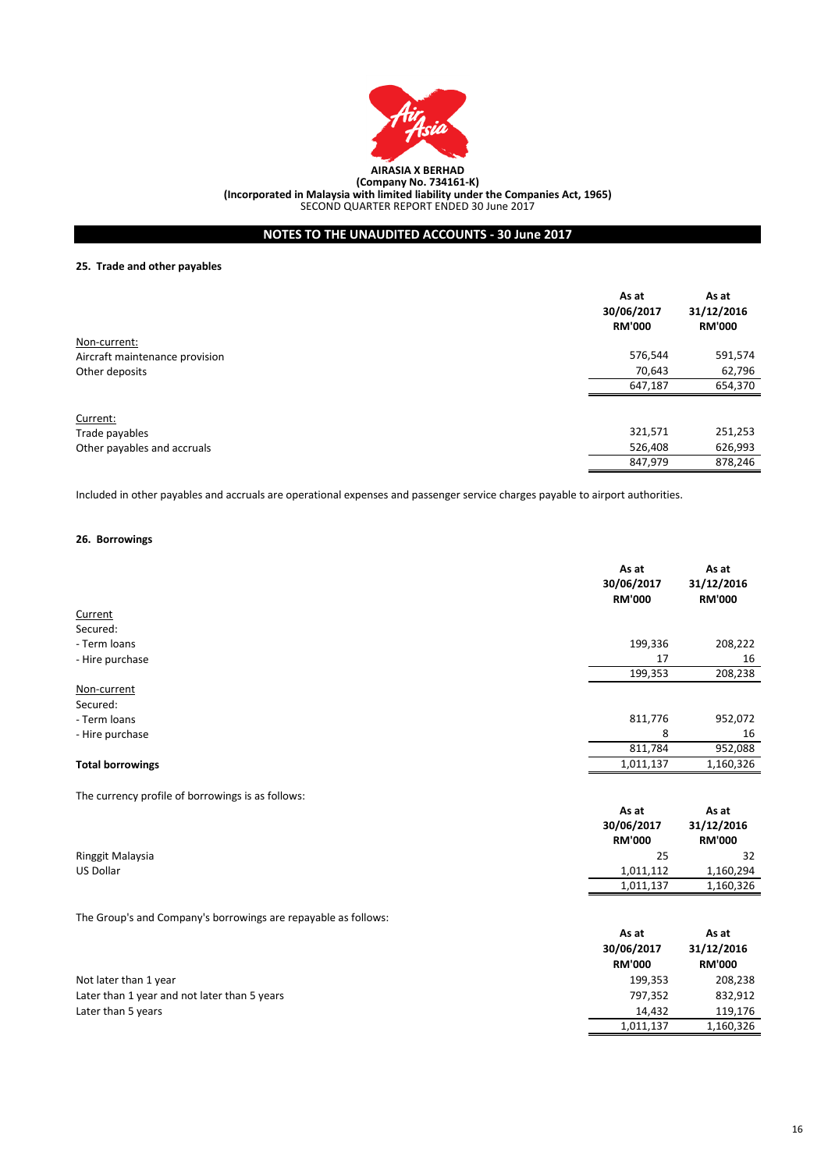

# **NOTES TO THE UNAUDITED ACCOUNTS - 30 June 2017**

# **25. Trade and other payables**

|                                | As at<br>30/06/2017<br><b>RM'000</b> | As at<br>31/12/2016<br><b>RM'000</b> |
|--------------------------------|--------------------------------------|--------------------------------------|
| Non-current:                   |                                      |                                      |
| Aircraft maintenance provision | 576,544                              | 591,574                              |
| Other deposits                 | 70,643                               | 62,796                               |
|                                | 647,187                              | 654,370                              |
| Current:                       |                                      |                                      |
| Trade payables                 | 321,571                              | 251,253                              |
| Other payables and accruals    | 526,408                              | 626,993                              |
|                                | 847,979                              | 878,246                              |

Included in other payables and accruals are operational expenses and passenger service charges payable to airport authorities.

# **26. Borrowings**

|                                                                | As at<br>30/06/2017<br><b>RM'000</b> | As at<br>31/12/2016<br><b>RM'000</b> |
|----------------------------------------------------------------|--------------------------------------|--------------------------------------|
| Current                                                        |                                      |                                      |
| Secured:                                                       |                                      |                                      |
| - Term loans                                                   | 199,336                              | 208,222                              |
| - Hire purchase                                                | 17                                   | 16                                   |
|                                                                | 199,353                              | 208,238                              |
| Non-current                                                    |                                      |                                      |
| Secured:                                                       |                                      |                                      |
| - Term loans                                                   | 811,776                              | 952,072                              |
| - Hire purchase                                                | 8                                    | 16                                   |
|                                                                | 811,784                              | 952,088                              |
| <b>Total borrowings</b>                                        | 1,011,137                            | 1,160,326                            |
| The currency profile of borrowings is as follows:              |                                      |                                      |
|                                                                | As at                                | As at                                |
|                                                                | 30/06/2017                           | 31/12/2016                           |
|                                                                | <b>RM'000</b>                        | <b>RM'000</b>                        |
| Ringgit Malaysia                                               | 25                                   | 32                                   |
| US Dollar                                                      | 1,011,112                            | 1,160,294                            |
|                                                                | 1,011,137                            | 1,160,326                            |
| The Group's and Company's borrowings are repayable as follows: |                                      |                                      |
|                                                                | As at                                | As at                                |
|                                                                | 30/06/2017                           | 31/12/2016                           |
|                                                                | <b>RM'000</b>                        | <b>RM'000</b>                        |
| Not later than 1 year                                          | 199,353                              | 208,238                              |
| Later than 1 year and not later than 5 years                   | 797,352                              | 832,912                              |
| Later than 5 years                                             | 14,432                               | 119,176                              |
|                                                                | 1,011,137                            | 1,160,326                            |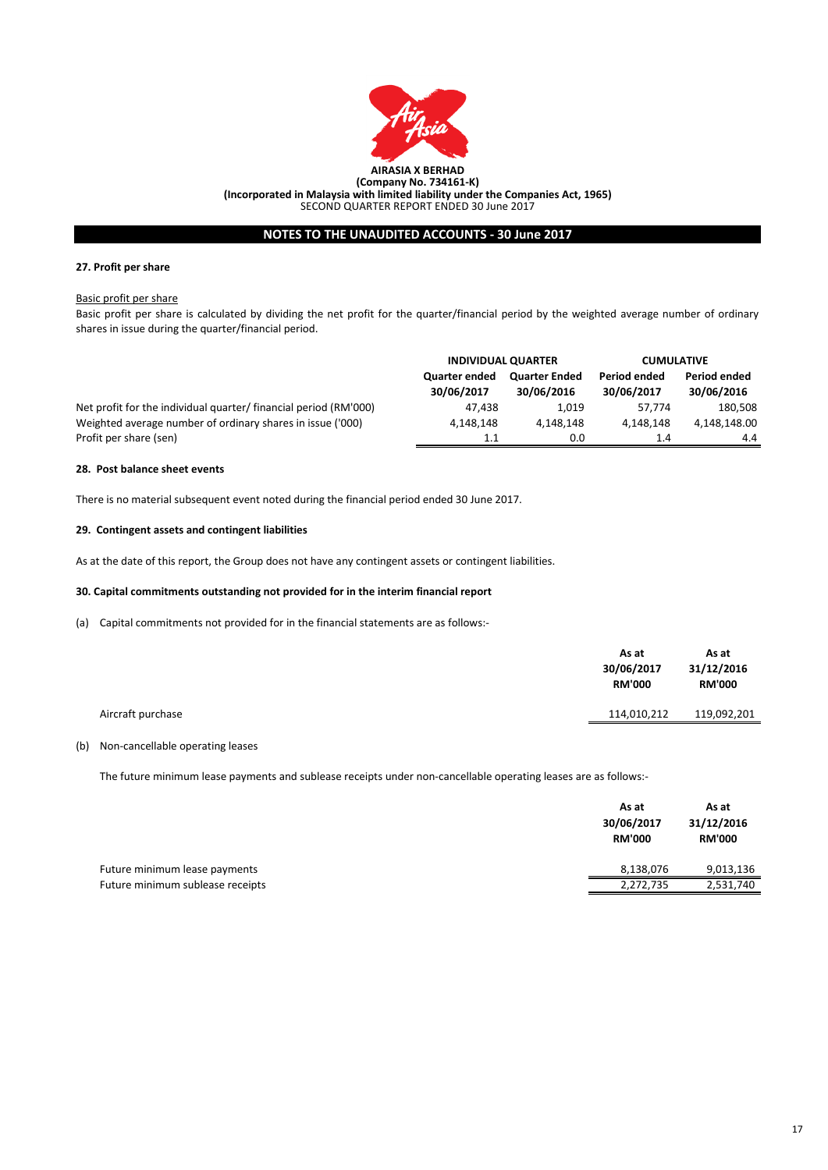

# **NOTES TO THE UNAUDITED ACCOUNTS - 30 June 2017**

## **27. Profit per share**

#### Basic profit per share

Basic profit per share is calculated by dividing the net profit for the quarter/financial period by the weighted average number of ordinary shares in issue during the quarter/financial period.

|                                                                  | <b>INDIVIDUAL QUARTER</b>          |                                    | <b>CUMULATIVE</b>          |                            |
|------------------------------------------------------------------|------------------------------------|------------------------------------|----------------------------|----------------------------|
|                                                                  | <b>Quarter ended</b><br>30/06/2017 | <b>Quarter Ended</b><br>30/06/2016 | Period ended<br>30/06/2017 | Period ended<br>30/06/2016 |
| Net profit for the individual quarter/ financial period (RM'000) | 47.438                             | 1.019                              | 57.774                     | 180,508                    |
| Weighted average number of ordinary shares in issue ('000)       | 4.148.148                          | 4.148.148                          | 4.148.148                  | 4,148,148.00               |
| Profit per share (sen)                                           | 1.1                                | 0.0                                | 1.4                        | 4.4                        |

#### **28. Post balance sheet events**

There is no material subsequent event noted during the financial period ended 30 June 2017.

#### **29. Contingent assets and contingent liabilities**

As at the date of this report, the Group does not have any contingent assets or contingent liabilities.

#### **30. Capital commitments outstanding not provided for in the interim financial report**

(a) Capital commitments not provided for in the financial statements are as follows:-

|                   | As at<br>30/06/2017<br><b>RM'000</b> | As at<br>31/12/2016<br><b>RM'000</b> |
|-------------------|--------------------------------------|--------------------------------------|
| Aircraft purchase | 114,010,212                          | 119,092,201                          |
|                   |                                      |                                      |

### (b) Non-cancellable operating leases

The future minimum lease payments and sublease receipts under non-cancellable operating leases are as follows:-

|                                  | As at<br>30/06/2017<br><b>RM'000</b> | As at<br>31/12/2016<br><b>RM'000</b> |
|----------------------------------|--------------------------------------|--------------------------------------|
| Future minimum lease payments    | 8,138,076                            | 9,013,136                            |
| Future minimum sublease receipts | 2,272,735                            | 2,531,740                            |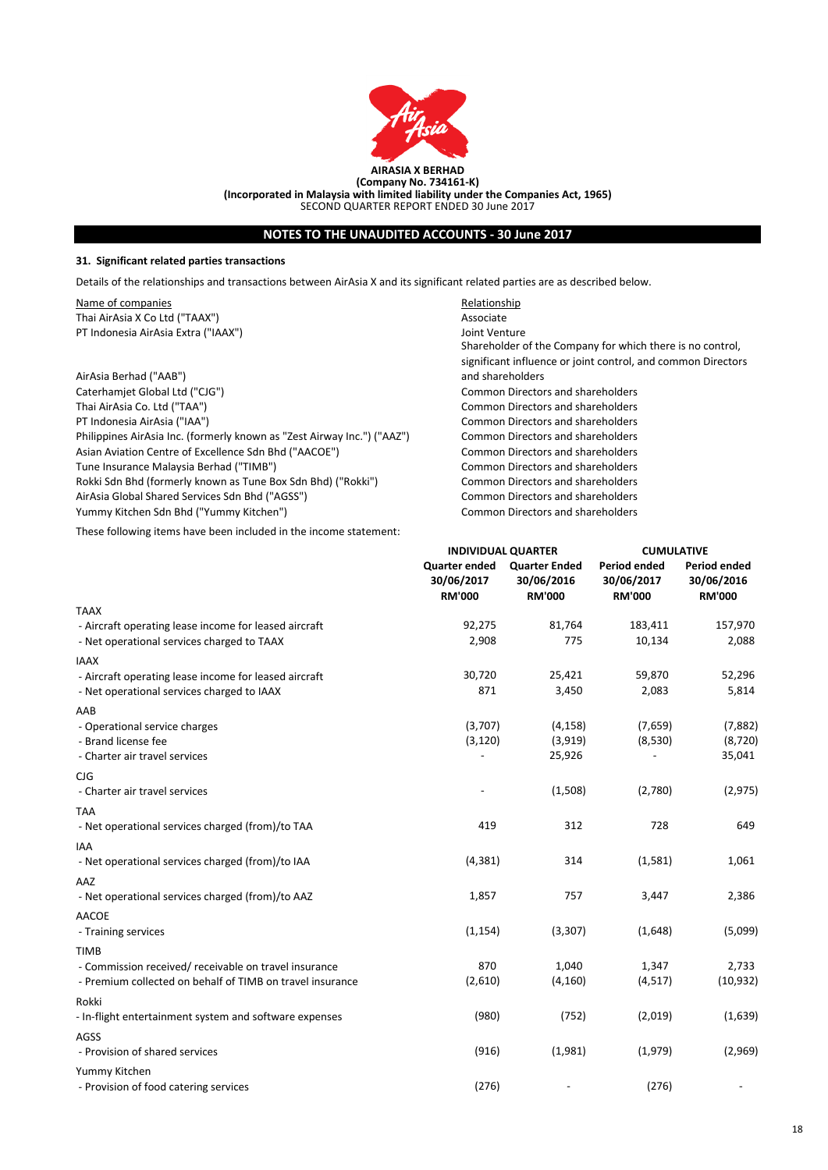

# **NOTES TO THE UNAUDITED ACCOUNTS - 30 June 2017**

### **31. Significant related parties transactions**

Details of the relationships and transactions between AirAsia X and its significant related parties are as described below.

Name of companies **Relationship Relationship** Thai AirAsia X Co Ltd ("TAAX")<br>
PT Indonesia AirAsia Extra ("IAAX") Associate<br>
Joint Venture PT Indonesia AirAsia Extra ("IAAX")

|                                                                         | significant influence or joint control, a |
|-------------------------------------------------------------------------|-------------------------------------------|
| AirAsia Berhad ("AAB")                                                  | and shareholders                          |
| Caterhamjet Global Ltd ("CJG")                                          | <b>Common Directors and shareholders</b>  |
| Thai AirAsia Co. Ltd ("TAA")                                            | <b>Common Directors and shareholders</b>  |
| PT Indonesia AirAsia ("IAA")                                            | Common Directors and shareholders         |
| Philippines AirAsia Inc. (formerly known as "Zest Airway Inc.") ("AAZ") | <b>Common Directors and shareholders</b>  |
| Asian Aviation Centre of Excellence Sdn Bhd ("AACOE")                   | <b>Common Directors and shareholders</b>  |
| Tune Insurance Malaysia Berhad ("TIMB")                                 | <b>Common Directors and shareholders</b>  |
| Rokki Sdn Bhd (formerly known as Tune Box Sdn Bhd) ("Rokki")            | <b>Common Directors and shareholders</b>  |
| AirAsia Global Shared Services Sdn Bhd ("AGSS")                         | <b>Common Directors and shareholders</b>  |
| Yummy Kitchen Sdn Bhd ("Yummy Kitchen")                                 | <b>Common Directors and shareholders</b>  |

These following items have been included in the income statement:

mmon Directors and shareholders mmon Directors and shareholders mmon Directors and shareholders mmon Directors and shareholders mmon Directors and shareholders Shareholder of the Company for which there is no control, nificant influence or joint control, and common Directors d shareholders

**INDIVIDUAL QUARTER CUMULATIVE**

|                                                           |                                                     | <b>INDIVIDUAL QUARIER</b>                           |                                             | <b>CUIVIULAIIVE</b>                         |  |
|-----------------------------------------------------------|-----------------------------------------------------|-----------------------------------------------------|---------------------------------------------|---------------------------------------------|--|
|                                                           | <b>Quarter ended</b><br>30/06/2017<br><b>RM'000</b> | <b>Quarter Ended</b><br>30/06/2016<br><b>RM'000</b> | Period ended<br>30/06/2017<br><b>RM'000</b> | Period ended<br>30/06/2016<br><b>RM'000</b> |  |
| <b>TAAX</b>                                               |                                                     |                                                     |                                             |                                             |  |
| - Aircraft operating lease income for leased aircraft     | 92,275                                              | 81,764                                              | 183,411                                     | 157,970                                     |  |
| - Net operational services charged to TAAX                | 2,908                                               | 775                                                 | 10,134                                      | 2,088                                       |  |
| <b>IAAX</b>                                               |                                                     |                                                     |                                             |                                             |  |
| - Aircraft operating lease income for leased aircraft     | 30,720                                              | 25,421                                              | 59,870                                      | 52,296                                      |  |
| - Net operational services charged to IAAX                | 871                                                 | 3,450                                               | 2,083                                       | 5,814                                       |  |
|                                                           |                                                     |                                                     |                                             |                                             |  |
| AAB                                                       |                                                     |                                                     |                                             |                                             |  |
| - Operational service charges                             | (3,707)                                             | (4, 158)                                            | (7,659)                                     | (7,882)                                     |  |
| - Brand license fee                                       | (3, 120)                                            | (3,919)                                             | (8,530)                                     | (8, 720)                                    |  |
| - Charter air travel services                             |                                                     | 25,926                                              |                                             | 35,041                                      |  |
| <b>CJG</b>                                                |                                                     |                                                     |                                             |                                             |  |
| - Charter air travel services                             |                                                     | (1,508)                                             | (2,780)                                     | (2, 975)                                    |  |
| <b>TAA</b>                                                |                                                     |                                                     |                                             |                                             |  |
| - Net operational services charged (from)/to TAA          | 419                                                 | 312                                                 | 728                                         | 649                                         |  |
| <b>IAA</b>                                                |                                                     |                                                     |                                             |                                             |  |
| - Net operational services charged (from)/to IAA          | (4, 381)                                            | 314                                                 | (1,581)                                     | 1,061                                       |  |
| AAZ                                                       |                                                     |                                                     |                                             |                                             |  |
| - Net operational services charged (from)/to AAZ          | 1,857                                               | 757                                                 | 3,447                                       | 2,386                                       |  |
| <b>AACOE</b>                                              |                                                     |                                                     |                                             |                                             |  |
| - Training services                                       | (1, 154)                                            | (3,307)                                             | (1,648)                                     | (5,099)                                     |  |
| <b>TIMB</b>                                               |                                                     |                                                     |                                             |                                             |  |
| - Commission received/ receivable on travel insurance     | 870                                                 | 1,040                                               | 1,347                                       | 2,733                                       |  |
| - Premium collected on behalf of TIMB on travel insurance | (2,610)                                             | (4, 160)                                            | (4, 517)                                    | (10, 932)                                   |  |
| Rokki                                                     |                                                     |                                                     |                                             |                                             |  |
| - In-flight entertainment system and software expenses    | (980)                                               | (752)                                               | (2,019)                                     | (1,639)                                     |  |
|                                                           |                                                     |                                                     |                                             |                                             |  |
| AGSS                                                      |                                                     |                                                     |                                             |                                             |  |
| - Provision of shared services                            | (916)                                               | (1,981)                                             | (1,979)                                     | (2,969)                                     |  |
| Yummy Kitchen                                             |                                                     |                                                     |                                             |                                             |  |
| - Provision of food catering services                     | (276)                                               |                                                     | (276)                                       |                                             |  |